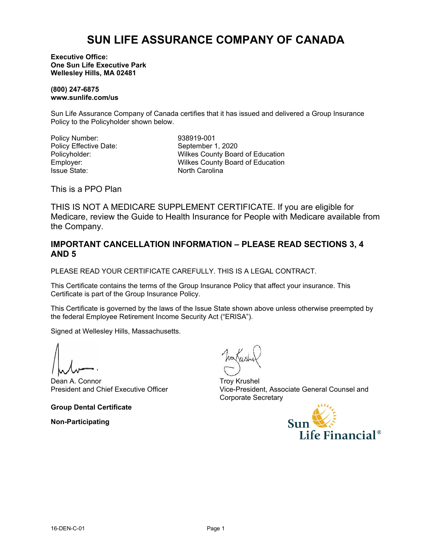# **SUN LIFE ASSURANCE COMPANY OF CANADA**

**Executive Office: One Sun Life Executive Park Wellesley Hills, MA 02481**

**(800) 247-6875 www.sunlife.com/us**

Sun Life Assurance Company of Canada certifies that it has issued and delivered a Group Insurance Policy to the Policyholder shown below.

Policy Number: 938919-001 Policy Effective Date: September 1, 2020

Policyholder: Wilkes County Board of Education<br>
Employer: Wilkes County Board of Education Employer: Wilkes County Board of Education North Carolina

This is a PPO Plan

THIS IS NOT A MEDICARE SUPPLEMENT CERTIFICATE. If you are eligible for Medicare, review the Guide to Health Insurance for People with Medicare available from the Company.

# **IMPORTANT CANCELLATION INFORMATION – PLEASE READ SECTIONS 3, 4 AND 5**

PLEASE READ YOUR CERTIFICATE CAREFULLY. THIS IS A LEGAL CONTRACT.

This Certificate contains the terms of the Group Insurance Policy that affect your insurance. This Certificate is part of the Group Insurance Policy.

This Certificate is governed by the laws of the Issue State shown above unless otherwise preempted by the federal Employee Retirement Income Security Act ("ERISA").

Signed at Wellesley Hills, Massachusetts.

Dean A. Connor President and Chief Executive Officer

**Group Dental Certificate**

**Non-Participating**

Troy Krushel Vice-President, Associate General Counsel and Corporate Secretary

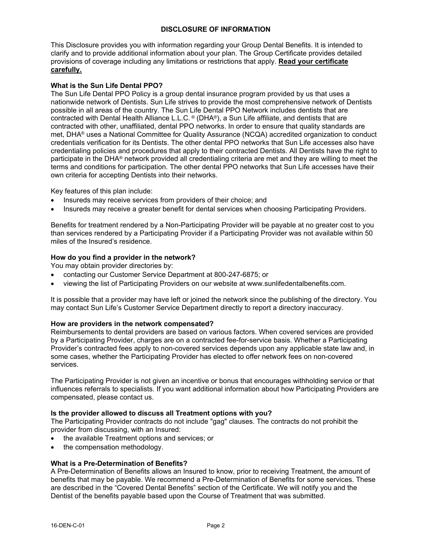# **DISCLOSURE OF INFORMATION**

This Disclosure provides you with information regarding your Group Dental Benefits. It is intended to clarify and to provide additional information about your plan. The Group Certificate provides detailed provisions of coverage including any limitations or restrictions that apply. **Read your certificate carefully.**

# **What is the Sun Life Dental PPO?**

The Sun Life Dental PPO Policy is a group dental insurance program provided by us that uses a nationwide network of Dentists. Sun Life strives to provide the most comprehensive network of Dentists possible in all areas of the country. The Sun Life Dental PPO Network includes dentists that are contracted with Dental Health Alliance L.L.C. ® (DHA®), a Sun Life affiliate, and dentists that are contracted with other, unaffiliated, dental PPO networks. In order to ensure that quality standards are met, DHA® uses a National Committee for Quality Assurance (NCQA) accredited organization to conduct credentials verification for its Dentists. The other dental PPO networks that Sun Life accesses also have credentialing policies and procedures that apply to their contracted Dentists. All Dentists have the right to participate in the DHA® network provided all credentialing criteria are met and they are willing to meet the terms and conditions for participation. The other dental PPO networks that Sun Life accesses have their own criteria for accepting Dentists into their networks.

Key features of this plan include:

- Insureds may receive services from providers of their choice; and
- · Insureds may receive a greater benefit for dental services when choosing Participating Providers.

Benefits for treatment rendered by a Non-Participating Provider will be payable at no greater cost to you than services rendered by a Participating Provider if a Participating Provider was not available within 50 miles of the Insured's residence.

#### **How do you find a provider in the network?**

You may obtain provider directories by:

- · contacting our Customer Service Department at 800-247-6875; or
- · viewing the list of Participating Providers on our website at www.sunlifedentalbenefits.com.

It is possible that a provider may have left or joined the network since the publishing of the directory. You may contact Sun Life's Customer Service Department directly to report a directory inaccuracy.

## **How are providers in the network compensated?**

Reimbursements to dental providers are based on various factors. When covered services are provided by a Participating Provider, charges are on a contracted fee-for-service basis. Whether a Participating Provider's contracted fees apply to non-covered services depends upon any applicable state law and, in some cases, whether the Participating Provider has elected to offer network fees on non-covered services.

The Participating Provider is not given an incentive or bonus that encourages withholding service or that influences referrals to specialists. If you want additional information about how Participating Providers are compensated, please contact us.

## **Is the provider allowed to discuss all Treatment options with you?**

The Participating Provider contracts do not include "gag" clauses. The contracts do not prohibit the provider from discussing, with an Insured:

- the available Treatment options and services; or
- the compensation methodology.

## **What is a Pre-Determination of Benefits?**

A Pre-Determination of Benefits allows an Insured to know, prior to receiving Treatment, the amount of benefits that may be payable. We recommend a Pre-Determination of Benefits for some services. These are described in the "Covered Dental Benefits" section of the Certificate. We will notify you and the Dentist of the benefits payable based upon the Course of Treatment that was submitted.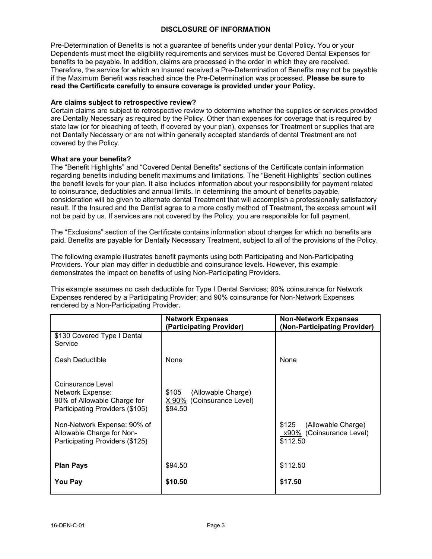## **DISCLOSURE OF INFORMATION**

Pre-Determination of Benefits is not a guarantee of benefits under your dental Policy. You or your Dependents must meet the eligibility requirements and services must be Covered Dental Expenses for benefits to be payable. In addition, claims are processed in the order in which they are received. Therefore, the service for which an Insured received a Pre-Determination of Benefits may not be payable if the Maximum Benefit was reached since the Pre-Determination was processed. **Please be sure to read the Certificate carefully to ensure coverage is provided under your Policy.**

## **Are claims subject to retrospective review?**

Certain claims are subject to retrospective review to determine whether the supplies or services provided are Dentally Necessary as required by the Policy. Other than expenses for coverage that is required by state law (or for bleaching of teeth, if covered by your plan), expenses for Treatment or supplies that are not Dentally Necessary or are not within generally accepted standards of dental Treatment are not covered by the Policy.

## **What are your benefits?**

The "Benefit Highlights" and "Covered Dental Benefits" sections of the Certificate contain information regarding benefits including benefit maximums and limitations. The "Benefit Highlights" section outlines the benefit levels for your plan. It also includes information about your responsibility for payment related to coinsurance, deductibles and annual limits. In determining the amount of benefits payable, consideration will be given to alternate dental Treatment that will accomplish a professionally satisfactory result. If the Insured and the Dentist agree to a more costly method of Treatment, the excess amount will not be paid by us. If services are not covered by the Policy, you are responsible for full payment.

The "Exclusions" section of the Certificate contains information about charges for which no benefits are paid. Benefits are payable for Dentally Necessary Treatment, subject to all of the provisions of the Policy.

The following example illustrates benefit payments using both Participating and Non-Participating Providers. Your plan may differ in deductible and coinsurance levels. However, this example demonstrates the impact on benefits of using Non-Participating Providers.

This example assumes no cash deductible for Type I Dental Services; 90% coinsurance for Network Expenses rendered by a Participating Provider; and 90% coinsurance for Non-Network Expenses rendered by a Non-Participating Provider.

|                                                                | <b>Network Expenses</b><br>(Participating Provider) | <b>Non-Network Expenses</b><br>(Non-Participating Provider) |
|----------------------------------------------------------------|-----------------------------------------------------|-------------------------------------------------------------|
| \$130 Covered Type I Dental<br>Service                         |                                                     |                                                             |
| Cash Deductible                                                | None                                                | None                                                        |
| Coinsurance Level                                              |                                                     |                                                             |
| Network Expense:                                               | \$105<br>(Allowable Charge)                         |                                                             |
| 90% of Allowable Charge for<br>Participating Providers (\$105) | (Coinsurance Level)<br>X 90%<br>\$94.50             |                                                             |
| Non-Network Expense: 90% of                                    |                                                     | \$125<br>(Allowable Charge)                                 |
| Allowable Charge for Non-<br>Participating Providers (\$125)   |                                                     | x90% (Coinsurance Level)<br>\$112.50                        |
|                                                                |                                                     |                                                             |
| <b>Plan Pays</b>                                               | \$94.50                                             | \$112.50                                                    |
| You Pay                                                        | \$10.50                                             | \$17.50                                                     |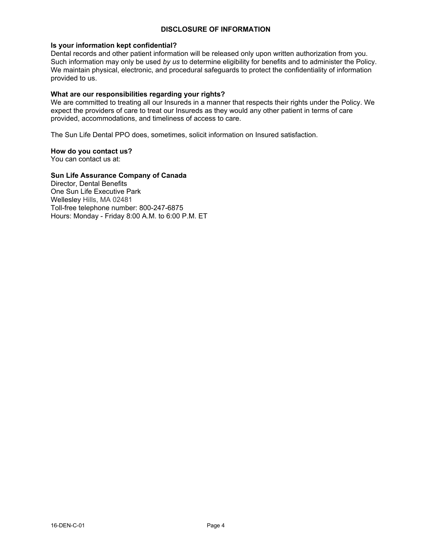## **DISCLOSURE OF INFORMATION**

## **Is your information kept confidential?**

Dental records and other patient information will be released only upon written authorization from you. Such information may only be used *by us* to determine eligibility for benefits and to administer the Policy. We maintain physical, electronic, and procedural safeguards to protect the confidentiality of information provided to us.

# **What are our responsibilities regarding your rights?**

We are committed to treating all our Insureds in a manner that respects their rights under the Policy. We expect the providers of care to treat our Insureds as they would any other patient in terms of care provided, accommodations, and timeliness of access to care.

The Sun Life Dental PPO does, sometimes, solicit information on Insured satisfaction.

# **How do you contact us?**

You can contact us at:

# **Sun Life Assurance Company of Canada**

Director, Dental Benefits One Sun Life Executive Park Wellesley Hills, MA 02481 Toll-free telephone number: 800-247-6875 Hours: Monday - Friday 8:00 A.M. to 6:00 P.M. ET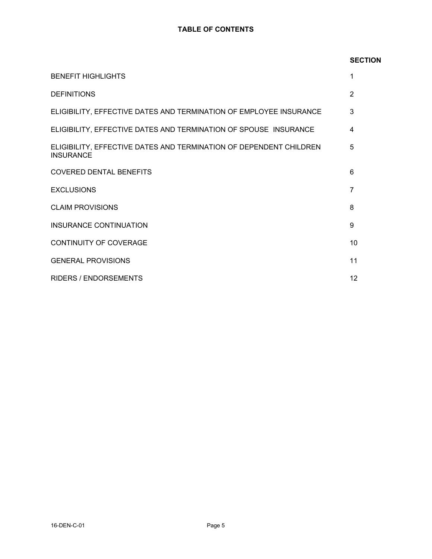# **TABLE OF CONTENTS**

# **SECTION**

| <b>BENEFIT HIGHLIGHTS</b>                                                              | 1               |
|----------------------------------------------------------------------------------------|-----------------|
| <b>DEFINITIONS</b>                                                                     | $\mathcal{P}$   |
| ELIGIBILITY, EFFECTIVE DATES AND TERMINATION OF EMPLOYEE INSURANCE                     | 3               |
| ELIGIBILITY, EFFECTIVE DATES AND TERMINATION OF SPOUSE INSURANCE                       | 4               |
| ELIGIBILITY, EFFECTIVE DATES AND TERMINATION OF DEPENDENT CHILDREN<br><b>INSURANCE</b> | 5               |
| <b>COVERED DENTAL BENEFITS</b>                                                         | 6               |
| <b>EXCLUSIONS</b>                                                                      | 7               |
| <b>CLAIM PROVISIONS</b>                                                                | 8               |
| INSURANCE CONTINUATION                                                                 | 9               |
| <b>CONTINUITY OF COVERAGE</b>                                                          | 10 <sup>°</sup> |
| <b>GENERAL PROVISIONS</b>                                                              | 11              |
| <b>RIDERS / ENDORSEMENTS</b>                                                           | 12 <sup>2</sup> |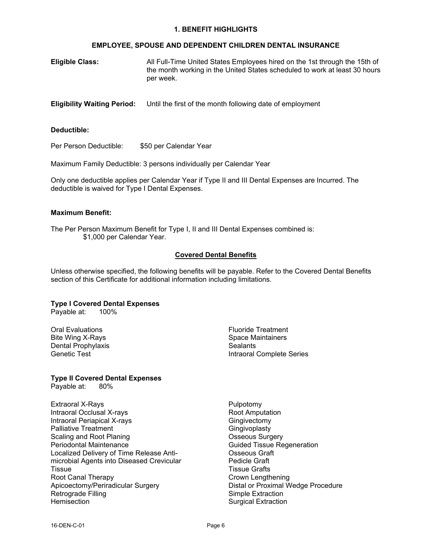#### **1. BENEFIT HIGHLIGHTS**

## **EMPLOYEE, SPOUSE AND DEPENDENT CHILDREN DENTAL INSURANCE**

| <b>Eligible Class:</b> | All Full-Time United States Employees hired on the 1st through the 15th of |
|------------------------|----------------------------------------------------------------------------|
|                        | the month working in the United States scheduled to work at least 30 hours |
|                        | per week.                                                                  |

**Eligibility Waiting Period:** Until the first of the month following date of employment

## **Deductible:**

Per Person Deductible: \$50 per Calendar Year

Maximum Family Deductible: 3 persons individually per Calendar Year

Only one deductible applies per Calendar Year if Type II and III Dental Expenses are Incurred. The deductible is waived for Type I Dental Expenses.

#### **Maximum Benefit:**

The Per Person Maximum Benefit for Type I, II and III Dental Expenses combined is: \$1,000 per Calendar Year.

# **Covered Dental Benefits**

Unless otherwise specified, the following benefits will be payable. Refer to the Covered Dental Benefits section of this Certificate for additional information including limitations.

## **Type I Covered Dental Expenses**

Payable at: 100%

Oral Evaluations Bite Wing X-Rays Dental Prophylaxis Genetic Test

## **Type II Covered Dental Expenses**

Payable at: 80%

Extraoral X-Rays Intraoral Occlusal X-rays Intraoral Periapical X-rays Palliative Treatment Scaling and Root Planing Periodontal Maintenance Localized Delivery of Time Release Antimicrobial Agents into Diseased Crevicular **Tissue** Root Canal Therapy Apicoectomy/Periradicular Surgery Retrograde Filling **Hemisection** 

Fluoride Treatment Space Maintainers **Sealants** Intraoral Complete Series

Pulpotomy Root Amputation Gingivectomy **Gingivoplasty** Osseous Surgery Guided Tissue Regeneration Osseous Graft Pedicle Graft Tissue Grafts Crown Lengthening Distal or Proximal Wedge Procedure Simple Extraction Surgical Extraction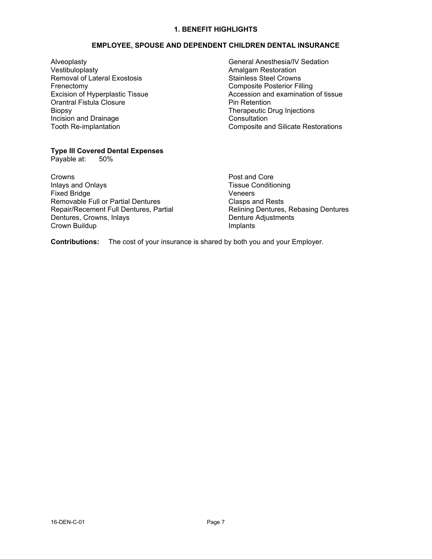# **1. BENEFIT HIGHLIGHTS**

# **EMPLOYEE, SPOUSE AND DEPENDENT CHILDREN DENTAL INSURANCE**

Alveoplasty Vestibuloplasty Removal of Lateral Exostosis Frenectomy Excision of Hyperplastic Tissue Orantral Fistula Closure Biopsy Incision and Drainage Tooth Re-implantation

# **Type III Covered Dental Expenses**

Payable at:

Crowns Inlays and Onlays Fixed Bridge Removable Full or Partial Dentures Repair/Recement Full Dentures, Partial Dentures, Crowns, Inlays Crown Buildup

General Anesthesia/IV Sedation Amalgam Restoration Stainless Steel Crowns Composite Posterior Filling Accession and examination of tissue Pin Retention Therapeutic Drug Injections **Consultation** Composite and Silicate Restorations

Post and Core Tissue Conditioning Veneers Clasps and Rests Relining Dentures, Rebasing Dentures Denture Adjustments Implants

**Contributions:** The cost of your insurance is shared by both you and your Employer.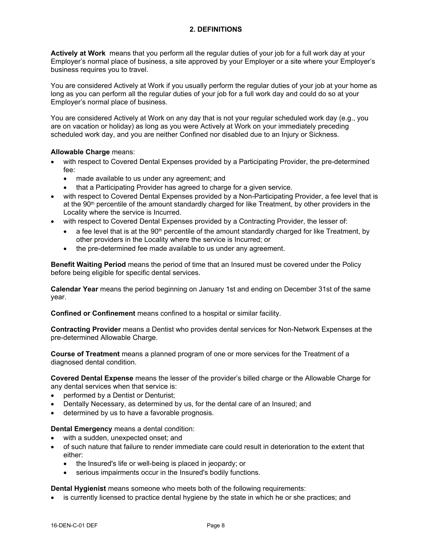**Actively at Work** means that you perform all the regular duties of your job for a full work day at your Employer's normal place of business, a site approved by your Employer or a site where your Employer's business requires you to travel.

You are considered Actively at Work if you usually perform the regular duties of your job at your home as long as you can perform all the regular duties of your job for a full work day and could do so at your Employer's normal place of business.

You are considered Actively at Work on any day that is not your regular scheduled work day (e.g., you are on vacation or holiday) as long as you were Actively at Work on your immediately preceding scheduled work day, and you are neither Confined nor disabled due to an Injury or Sickness.

# **Allowable Charge** means:

- with respect to Covered Dental Expenses provided by a Participating Provider, the pre-determined fee:
	- · made available to us under any agreement; and
	- that a Participating Provider has agreed to charge for a given service.
- with respect to Covered Dental Expenses provided by a Non-Participating Provider, a fee level that is at the  $90<sup>th</sup>$  percentile of the amount standardly charged for like Treatment, by other providers in the Locality where the service is Incurred.
- with respect to Covered Dental Expenses provided by a Contracting Provider, the lesser of:
	- $\bullet$  a fee level that is at the 90<sup>th</sup> percentile of the amount standardly charged for like Treatment, by other providers in the Locality where the service is Incurred; or
	- · the pre-determined fee made available to us under any agreement.

**Benefit Waiting Period** means the period of time that an Insured must be covered under the Policy before being eligible for specific dental services.

**Calendar Year** means the period beginning on January 1st and ending on December 31st of the same year.

**Confined or Confinement** means confined to a hospital or similar facility.

**Contracting Provider** means a Dentist who provides dental services for Non-Network Expenses at the pre-determined Allowable Charge.

**Course of Treatment** means a planned program of one or more services for the Treatment of a diagnosed dental condition.

**Covered Dental Expense** means the lesser of the provider's billed charge or the Allowable Charge for any dental services when that service is:

- performed by a Dentist or Denturist;
- Dentally Necessary, as determined by us, for the dental care of an Insured; and
- determined by us to have a favorable prognosis.

## **Dental Emergency** means a dental condition:

- with a sudden, unexpected onset; and
- · of such nature that failure to render immediate care could result in deterioration to the extent that either:
	- · the Insured's life or well-being is placed in jeopardy; or
	- serious impairments occur in the Insured's bodily functions.

**Dental Hygienist** means someone who meets both of the following requirements:

is currently licensed to practice dental hygiene by the state in which he or she practices; and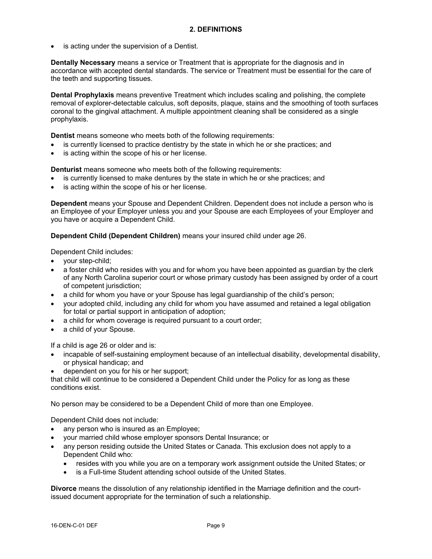is acting under the supervision of a Dentist.

**Dentally Necessary** means a service or Treatment that is appropriate for the diagnosis and in accordance with accepted dental standards. The service or Treatment must be essential for the care of the teeth and supporting tissues.

**Dental Prophylaxis** means preventive Treatment which includes scaling and polishing, the complete removal of explorer-detectable calculus, soft deposits, plaque, stains and the smoothing of tooth surfaces coronal to the gingival attachment. A multiple appointment cleaning shall be considered as a single prophylaxis.

**Dentist** means someone who meets both of the following requirements:

- is currently licensed to practice dentistry by the state in which he or she practices; and
- is acting within the scope of his or her license.

**Denturist** means someone who meets both of the following requirements:

- is currently licensed to make dentures by the state in which he or she practices; and
- is acting within the scope of his or her license.

**Dependent** means your Spouse and Dependent Children. Dependent does not include a person who is an Employee of your Employer unless you and your Spouse are each Employees of your Employer and you have or acquire a Dependent Child.

**Dependent Child (Dependent Children)** means your insured child under age 26.

Dependent Child includes:

- · your step-child;
- a foster child who resides with you and for whom you have been appointed as guardian by the clerk of any North Carolina superior court or whose primary custody has been assigned by order of a court of competent jurisdiction;
- a child for whom you have or your Spouse has legal quardianship of the child's person;
- · your adopted child, including any child for whom you have assumed and retained a legal obligation for total or partial support in anticipation of adoption;
- a child for whom coverage is required pursuant to a court order;
- a child of your Spouse.

If a child is age 26 or older and is:

- · incapable of self-sustaining employment because of an intellectual disability, developmental disability, or physical handicap; and
- dependent on you for his or her support;

that child will continue to be considered a Dependent Child under the Policy for as long as these conditions exist.

No person may be considered to be a Dependent Child of more than one Employee.

Dependent Child does not include:

- any person who is insured as an Employee;
- · your married child whose employer sponsors Dental Insurance; or
- any person residing outside the United States or Canada. This exclusion does not apply to a Dependent Child who:
	- resides with you while you are on a temporary work assignment outside the United States; or
	- is a Full-time Student attending school outside of the United States.

**Divorce** means the dissolution of any relationship identified in the Marriage definition and the courtissued document appropriate for the termination of such a relationship.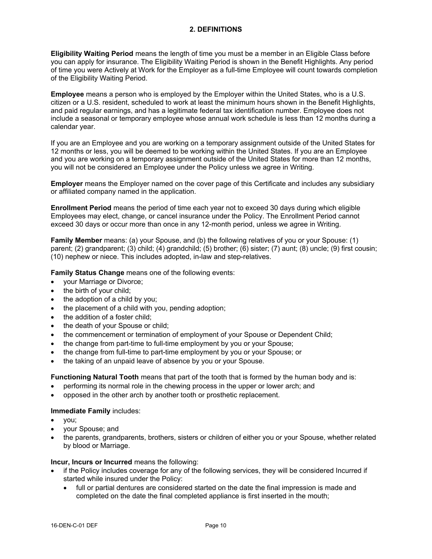**Eligibility Waiting Period** means the length of time you must be a member in an Eligible Class before you can apply for insurance. The Eligibility Waiting Period is shown in the Benefit Highlights. Any period of time you were Actively at Work for the Employer as a full-time Employee will count towards completion of the Eligibility Waiting Period.

**Employee** means a person who is employed by the Employer within the United States, who is a U.S. citizen or a U.S. resident, scheduled to work at least the minimum hours shown in the Benefit Highlights, and paid regular earnings, and has a legitimate federal tax identification number. Employee does not include a seasonal or temporary employee whose annual work schedule is less than 12 months during a calendar year.

If you are an Employee and you are working on a temporary assignment outside of the United States for 12 months or less, you will be deemed to be working within the United States. If you are an Employee and you are working on a temporary assignment outside of the United States for more than 12 months, you will not be considered an Employee under the Policy unless we agree in Writing.

**Employer** means the Employer named on the cover page of this Certificate and includes any subsidiary or affiliated company named in the application.

**Enrollment Period** means the period of time each year not to exceed 30 days during which eligible Employees may elect, change, or cancel insurance under the Policy. The Enrollment Period cannot exceed 30 days or occur more than once in any 12-month period, unless we agree in Writing.

**Family Member** means: (a) your Spouse, and (b) the following relatives of you or your Spouse: (1) parent; (2) grandparent; (3) child; (4) grandchild; (5) brother; (6) sister; (7) aunt; (8) uncle; (9) first cousin; (10) nephew or niece. This includes adopted, in-law and step-relatives.

**Family Status Change** means one of the following events:

- your Marriage or Divorce;
- the birth of your child;
- the adoption of a child by you;
- the placement of a child with you, pending adoption;
- · the addition of a foster child;
- the death of your Spouse or child;
- · the commencement or termination of employment of your Spouse or Dependent Child;
- · the change from part-time to full-time employment by you or your Spouse;
- · the change from full-time to part-time employment by you or your Spouse; or
- the taking of an unpaid leave of absence by you or your Spouse.

**Functioning Natural Tooth** means that part of the tooth that is formed by the human body and is:

- performing its normal role in the chewing process in the upper or lower arch; and
- opposed in the other arch by another tooth or prosthetic replacement.

#### **Immediate Family** includes:

- · you;
- · your Spouse; and
- · the parents, grandparents, brothers, sisters or children of either you or your Spouse, whether related by blood or Marriage.

#### **Incur, Incurs or Incurred** means the following:

- if the Policy includes coverage for any of the following services, they will be considered Incurred if started while insured under the Policy:
	- full or partial dentures are considered started on the date the final impression is made and completed on the date the final completed appliance is first inserted in the mouth;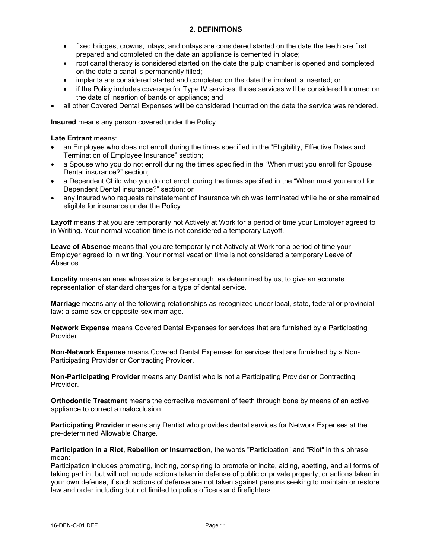- fixed bridges, crowns, inlays, and onlays are considered started on the date the teeth are first prepared and completed on the date an appliance is cemented in place;
- · root canal therapy is considered started on the date the pulp chamber is opened and completed on the date a canal is permanently filled;
- · implants are considered started and completed on the date the implant is inserted; or
- if the Policy includes coverage for Type IV services, those services will be considered Incurred on the date of insertion of bands or appliance; and
- · all other Covered Dental Expenses will be considered Incurred on the date the service was rendered.

**Insured** means any person covered under the Policy.

## **Late Entrant** means:

- an Employee who does not enroll during the times specified in the "Eligibility, Effective Dates and Termination of Employee Insurance" section;
- a Spouse who you do not enroll during the times specified in the "When must you enroll for Spouse Dental insurance?" section;
- a Dependent Child who you do not enroll during the times specified in the "When must you enroll for Dependent Dental insurance?" section; or
- any Insured who requests reinstatement of insurance which was terminated while he or she remained eligible for insurance under the Policy.

**Layoff** means that you are temporarily not Actively at Work for a period of time your Employer agreed to in Writing. Your normal vacation time is not considered a temporary Layoff.

**Leave of Absence** means that you are temporarily not Actively at Work for a period of time your Employer agreed to in writing. Your normal vacation time is not considered a temporary Leave of Absence.

**Locality** means an area whose size is large enough, as determined by us, to give an accurate representation of standard charges for a type of dental service.

**Marriage** means any of the following relationships as recognized under local, state, federal or provincial law: a same-sex or opposite-sex marriage.

**Network Expense** means Covered Dental Expenses for services that are furnished by a Participating Provider.

**Non-Network Expense** means Covered Dental Expenses for services that are furnished by a Non-Participating Provider or Contracting Provider.

**Non-Participating Provider** means any Dentist who is not a Participating Provider or Contracting Provider.

**Orthodontic Treatment** means the corrective movement of teeth through bone by means of an active appliance to correct a malocclusion.

**Participating Provider** means any Dentist who provides dental services for Network Expenses at the pre-determined Allowable Charge.

#### **Participation in a Riot, Rebellion or Insurrection**, the words "Participation" and "Riot" in this phrase mean:

Participation includes promoting, inciting, conspiring to promote or incite, aiding, abetting, and all forms of taking part in, but will not include actions taken in defense of public or private property, or actions taken in your own defense, if such actions of defense are not taken against persons seeking to maintain or restore law and order including but not limited to police officers and firefighters.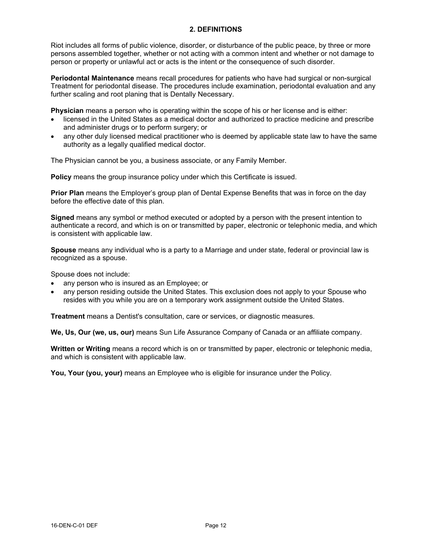Riot includes all forms of public violence, disorder, or disturbance of the public peace, by three or more persons assembled together, whether or not acting with a common intent and whether or not damage to person or property or unlawful act or acts is the intent or the consequence of such disorder.

**Periodontal Maintenance** means recall procedures for patients who have had surgical or non-surgical Treatment for periodontal disease. The procedures include examination, periodontal evaluation and any further scaling and root planing that is Dentally Necessary.

**Physician** means a person who is operating within the scope of his or her license and is either:

- · licensed in the United States as a medical doctor and authorized to practice medicine and prescribe and administer drugs or to perform surgery; or
- any other duly licensed medical practitioner who is deemed by applicable state law to have the same authority as a legally qualified medical doctor.

The Physician cannot be you, a business associate, or any Family Member.

**Policy** means the group insurance policy under which this Certificate is issued.

**Prior Plan** means the Employer's group plan of Dental Expense Benefits that was in force on the day before the effective date of this plan.

**Signed** means any symbol or method executed or adopted by a person with the present intention to authenticate a record, and which is on or transmitted by paper, electronic or telephonic media, and which is consistent with applicable law.

**Spouse** means any individual who is a party to a Marriage and under state, federal or provincial law is recognized as a spouse.

Spouse does not include:

- any person who is insured as an Employee; or
- any person residing outside the United States. This exclusion does not apply to your Spouse who resides with you while you are on a temporary work assignment outside the United States.

**Treatment** means a Dentist's consultation, care or services, or diagnostic measures.

**We, Us, Our (we, us, our)** means Sun Life Assurance Company of Canada or an affiliate company.

**Written or Writing** means a record which is on or transmitted by paper, electronic or telephonic media, and which is consistent with applicable law.

**You, Your (you, your)** means an Employee who is eligible for insurance under the Policy.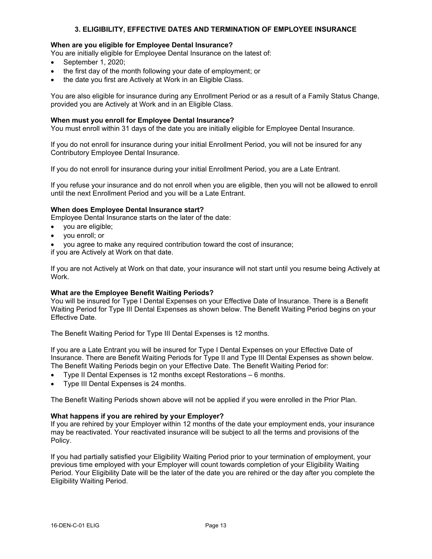# **3. ELIGIBILITY, EFFECTIVE DATES AND TERMINATION OF EMPLOYEE INSURANCE**

## **When are you eligible for Employee Dental Insurance?**

You are initially eligible for Employee Dental Insurance on the latest of:

- · September 1, 2020;
- the first day of the month following your date of employment; or
- the date you first are Actively at Work in an Eligible Class.

You are also eligible for insurance during any Enrollment Period or as a result of a Family Status Change, provided you are Actively at Work and in an Eligible Class.

#### **When must you enroll for Employee Dental Insurance?**

You must enroll within 31 days of the date you are initially eligible for Employee Dental Insurance.

If you do not enroll for insurance during your initial Enrollment Period, you will not be insured for any Contributory Employee Dental Insurance.

If you do not enroll for insurance during your initial Enrollment Period, you are a Late Entrant.

If you refuse your insurance and do not enroll when you are eligible, then you will not be allowed to enroll until the next Enrollment Period and you will be a Late Entrant.

#### **When does Employee Dental Insurance start?**

Employee Dental Insurance starts on the later of the date:

- · you are eligible;
- · you enroll; or
- · you agree to make any required contribution toward the cost of insurance;

if you are Actively at Work on that date.

If you are not Actively at Work on that date, your insurance will not start until you resume being Actively at Work.

#### **What are the Employee Benefit Waiting Periods?**

You will be insured for Type I Dental Expenses on your Effective Date of Insurance. There is a Benefit Waiting Period for Type III Dental Expenses as shown below. The Benefit Waiting Period begins on your Effective Date.

The Benefit Waiting Period for Type III Dental Expenses is 12 months.

If you are a Late Entrant you will be insured for Type I Dental Expenses on your Effective Date of Insurance. There are Benefit Waiting Periods for Type II and Type III Dental Expenses as shown below. The Benefit Waiting Periods begin on your Effective Date. The Benefit Waiting Period for:

- · Type II Dental Expenses is 12 months except Restorations 6 months.
- Type III Dental Expenses is 24 months.

The Benefit Waiting Periods shown above will not be applied if you were enrolled in the Prior Plan.

#### **What happens if you are rehired by your Employer?**

If you are rehired by your Employer within 12 months of the date your employment ends, your insurance may be reactivated. Your reactivated insurance will be subject to all the terms and provisions of the Policy.

If you had partially satisfied your Eligibility Waiting Period prior to your termination of employment, your previous time employed with your Employer will count towards completion of your Eligibility Waiting Period. Your Eligibility Date will be the later of the date you are rehired or the day after you complete the Eligibility Waiting Period.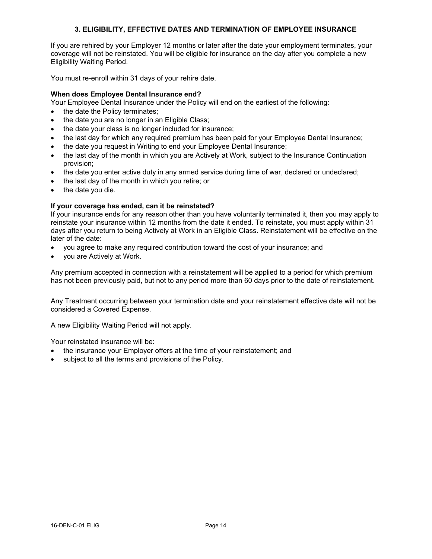# **3. ELIGIBILITY, EFFECTIVE DATES AND TERMINATION OF EMPLOYEE INSURANCE**

If you are rehired by your Employer 12 months or later after the date your employment terminates, your coverage will not be reinstated. You will be eligible for insurance on the day after you complete a new Eligibility Waiting Period.

You must re-enroll within 31 days of your rehire date.

# **When does Employee Dental Insurance end?**

- Your Employee Dental Insurance under the Policy will end on the earliest of the following:
- the date the Policy terminates;
- the date you are no longer in an Eligible Class;
- the date your class is no longer included for insurance:
- · the last day for which any required premium has been paid for your Employee Dental Insurance;
- · the date you request in Writing to end your Employee Dental Insurance;
- the last day of the month in which you are Actively at Work, subject to the Insurance Continuation provision;
- the date you enter active duty in any armed service during time of war, declared or undeclared;
- the last day of the month in which you retire; or
- the date you die.

# **If your coverage has ended, can it be reinstated?**

If your insurance ends for any reason other than you have voluntarily terminated it, then you may apply to reinstate your insurance within 12 months from the date it ended. To reinstate, you must apply within 31 days after you return to being Actively at Work in an Eligible Class. Reinstatement will be effective on the later of the date:

- · you agree to make any required contribution toward the cost of your insurance; and
- you are Actively at Work.

Any premium accepted in connection with a reinstatement will be applied to a period for which premium has not been previously paid, but not to any period more than 60 days prior to the date of reinstatement.

Any Treatment occurring between your termination date and your reinstatement effective date will not be considered a Covered Expense.

A new Eligibility Waiting Period will not apply.

Your reinstated insurance will be:

- the insurance your Employer offers at the time of your reinstatement; and
- subject to all the terms and provisions of the Policy.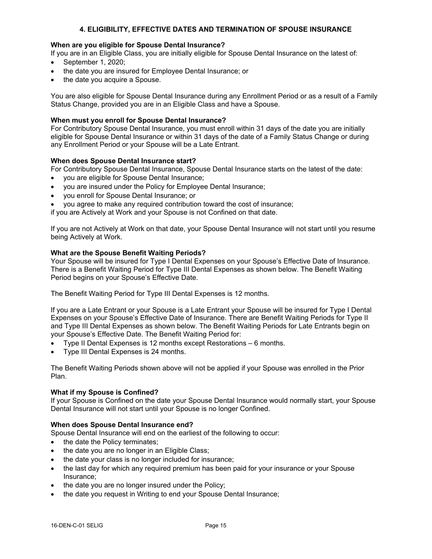# **4. ELIGIBILITY, EFFECTIVE DATES AND TERMINATION OF SPOUSE INSURANCE**

## **When are you eligible for Spouse Dental Insurance?**

If you are in an Eligible Class, you are initially eligible for Spouse Dental Insurance on the latest of:

- · September 1, 2020;
- the date you are insured for Employee Dental Insurance; or
- the date you acquire a Spouse.

You are also eligible for Spouse Dental Insurance during any Enrollment Period or as a result of a Family Status Change, provided you are in an Eligible Class and have a Spouse.

## **When must you enroll for Spouse Dental Insurance?**

For Contributory Spouse Dental Insurance, you must enroll within 31 days of the date you are initially eligible for Spouse Dental Insurance or within 31 days of the date of a Family Status Change or during any Enrollment Period or your Spouse will be a Late Entrant.

#### **When does Spouse Dental Insurance start?**

For Contributory Spouse Dental Insurance, Spouse Dental Insurance starts on the latest of the date:

- · you are eligible for Spouse Dental Insurance;
- you are insured under the Policy for Employee Dental Insurance;
- · you enroll for Spouse Dental Insurance; or
- you agree to make any required contribution toward the cost of insurance;

if you are Actively at Work and your Spouse is not Confined on that date.

If you are not Actively at Work on that date, your Spouse Dental Insurance will not start until you resume being Actively at Work.

#### **What are the Spouse Benefit Waiting Periods?**

Your Spouse will be insured for Type I Dental Expenses on your Spouse's Effective Date of Insurance. There is a Benefit Waiting Period for Type III Dental Expenses as shown below. The Benefit Waiting Period begins on your Spouse's Effective Date.

The Benefit Waiting Period for Type III Dental Expenses is 12 months.

If you are a Late Entrant or your Spouse is a Late Entrant your Spouse will be insured for Type I Dental Expenses on your Spouse's Effective Date of Insurance. There are Benefit Waiting Periods for Type II and Type III Dental Expenses as shown below. The Benefit Waiting Periods for Late Entrants begin on your Spouse's Effective Date. The Benefit Waiting Period for:

- · Type II Dental Expenses is 12 months except Restorations 6 months.
- Type III Dental Expenses is 24 months.

The Benefit Waiting Periods shown above will not be applied if your Spouse was enrolled in the Prior Plan.

#### **What if my Spouse is Confined?**

If your Spouse is Confined on the date your Spouse Dental Insurance would normally start, your Spouse Dental Insurance will not start until your Spouse is no longer Confined.

## **When does Spouse Dental Insurance end?**

Spouse Dental Insurance will end on the earliest of the following to occur:

- the date the Policy terminates;
- the date you are no longer in an Eligible Class;
- the date your class is no longer included for insurance;
- · the last day for which any required premium has been paid for your insurance or your Spouse Insurance;
- the date you are no longer insured under the Policy;
- the date you request in Writing to end your Spouse Dental Insurance;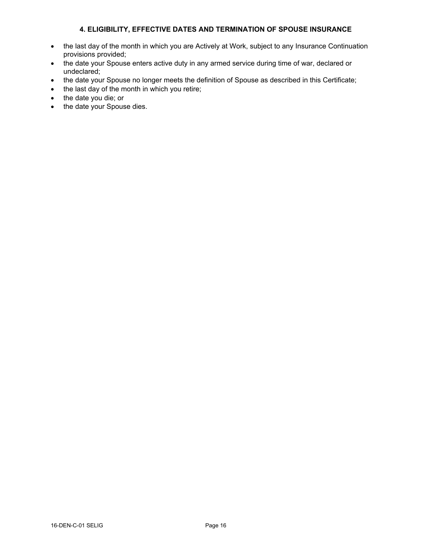# **4. ELIGIBILITY, EFFECTIVE DATES AND TERMINATION OF SPOUSE INSURANCE**

- · the last day of the month in which you are Actively at Work, subject to any Insurance Continuation provisions provided;
- · the date your Spouse enters active duty in any armed service during time of war, declared or undeclared;
- · the date your Spouse no longer meets the definition of Spouse as described in this Certificate;
- the last day of the month in which you retire;
- · the date you die; or
- · the date your Spouse dies.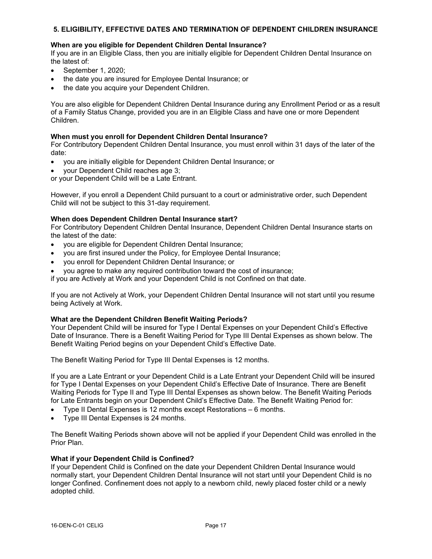# **5. ELIGIBILITY, EFFECTIVE DATES AND TERMINATION OF DEPENDENT CHILDREN INSURANCE**

## **When are you eligible for Dependent Children Dental Insurance?**

If you are in an Eligible Class, then you are initially eligible for Dependent Children Dental Insurance on the latest of:

- · September 1, 2020;
- · the date you are insured for Employee Dental Insurance; or
- the date you acquire your Dependent Children.

You are also eligible for Dependent Children Dental Insurance during any Enrollment Period or as a result of a Family Status Change, provided you are in an Eligible Class and have one or more Dependent Children.

## **When must you enroll for Dependent Children Dental Insurance?**

For Contributory Dependent Children Dental Insurance, you must enroll within 31 days of the later of the date:

- · you are initially eligible for Dependent Children Dental Insurance; or
- your Dependent Child reaches age 3;

or your Dependent Child will be a Late Entrant.

However, if you enroll a Dependent Child pursuant to a court or administrative order, such Dependent Child will not be subject to this 31-day requirement.

#### **When does Dependent Children Dental Insurance start?**

For Contributory Dependent Children Dental Insurance, Dependent Children Dental Insurance starts on the latest of the date:

- · you are eligible for Dependent Children Dental Insurance;
- · you are first insured under the Policy, for Employee Dental Insurance;
- · you enroll for Dependent Children Dental Insurance; or
- · you agree to make any required contribution toward the cost of insurance;

if you are Actively at Work and your Dependent Child is not Confined on that date.

If you are not Actively at Work, your Dependent Children Dental Insurance will not start until you resume being Actively at Work.

#### **What are the Dependent Children Benefit Waiting Periods?**

Your Dependent Child will be insured for Type I Dental Expenses on your Dependent Child's Effective Date of Insurance. There is a Benefit Waiting Period for Type III Dental Expenses as shown below. The Benefit Waiting Period begins on your Dependent Child's Effective Date.

The Benefit Waiting Period for Type III Dental Expenses is 12 months.

If you are a Late Entrant or your Dependent Child is a Late Entrant your Dependent Child will be insured for Type I Dental Expenses on your Dependent Child's Effective Date of Insurance. There are Benefit Waiting Periods for Type II and Type III Dental Expenses as shown below. The Benefit Waiting Periods for Late Entrants begin on your Dependent Child's Effective Date. The Benefit Waiting Period for:

- · Type II Dental Expenses is 12 months except Restorations 6 months.
- · Type III Dental Expenses is 24 months.

The Benefit Waiting Periods shown above will not be applied if your Dependent Child was enrolled in the Prior Plan.

#### **What if your Dependent Child is Confined?**

If your Dependent Child is Confined on the date your Dependent Children Dental Insurance would normally start, your Dependent Children Dental Insurance will not start until your Dependent Child is no longer Confined. Confinement does not apply to a newborn child, newly placed foster child or a newly adopted child.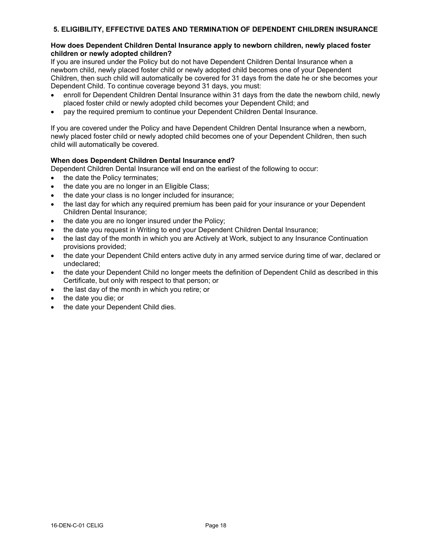# **5. ELIGIBILITY, EFFECTIVE DATES AND TERMINATION OF DEPENDENT CHILDREN INSURANCE**

## **How does Dependent Children Dental Insurance apply to newborn children, newly placed foster children or newly adopted children?**

If you are insured under the Policy but do not have Dependent Children Dental Insurance when a newborn child, newly placed foster child or newly adopted child becomes one of your Dependent Children, then such child will automatically be covered for 31 days from the date he or she becomes your Dependent Child. To continue coverage beyond 31 days, you must:

- · enroll for Dependent Children Dental Insurance within 31 days from the date the newborn child, newly placed foster child or newly adopted child becomes your Dependent Child; and
- · pay the required premium to continue your Dependent Children Dental Insurance.

If you are covered under the Policy and have Dependent Children Dental Insurance when a newborn, newly placed foster child or newly adopted child becomes one of your Dependent Children, then such child will automatically be covered.

# **When does Dependent Children Dental Insurance end?**

Dependent Children Dental Insurance will end on the earliest of the following to occur:

- the date the Policy terminates;
- the date you are no longer in an Eligible Class;
- the date your class is no longer included for insurance;
- the last day for which any required premium has been paid for your insurance or your Dependent Children Dental Insurance;
- the date you are no longer insured under the Policy;
- · the date you request in Writing to end your Dependent Children Dental Insurance;
- · the last day of the month in which you are Actively at Work, subject to any Insurance Continuation provisions provided;
- the date your Dependent Child enters active duty in any armed service during time of war, declared or undeclared;
- · the date your Dependent Child no longer meets the definition of Dependent Child as described in this Certificate, but only with respect to that person; or
- the last day of the month in which you retire; or
- the date you die; or
- the date your Dependent Child dies.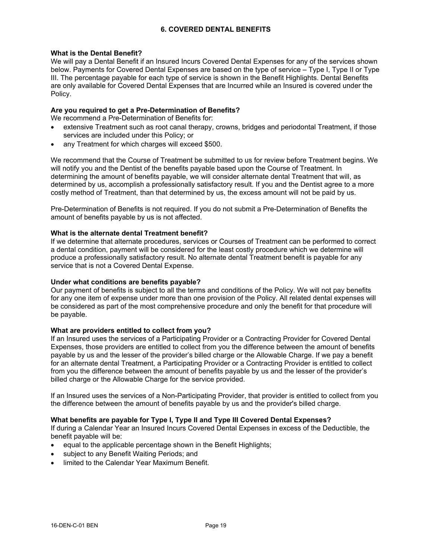## **What is the Dental Benefit?**

We will pay a Dental Benefit if an Insured Incurs Covered Dental Expenses for any of the services shown below. Payments for Covered Dental Expenses are based on the type of service – Type I, Type II or Type III. The percentage payable for each type of service is shown in the Benefit Highlights. Dental Benefits are only available for Covered Dental Expenses that are Incurred while an Insured is covered under the Policy.

## **Are you required to get a Pre-Determination of Benefits?**

We recommend a Pre-Determination of Benefits for:

- extensive Treatment such as root canal therapy, crowns, bridges and periodontal Treatment, if those services are included under this Policy; or
- any Treatment for which charges will exceed \$500.

We recommend that the Course of Treatment be submitted to us for review before Treatment begins. We will notify you and the Dentist of the benefits payable based upon the Course of Treatment. In determining the amount of benefits payable, we will consider alternate dental Treatment that will, as determined by us, accomplish a professionally satisfactory result. If you and the Dentist agree to a more costly method of Treatment, than that determined by us, the excess amount will not be paid by us.

Pre-Determination of Benefits is not required. If you do not submit a Pre-Determination of Benefits the amount of benefits payable by us is not affected.

## **What is the alternate dental Treatment benefit?**

If we determine that alternate procedures, services or Courses of Treatment can be performed to correct a dental condition, payment will be considered for the least costly procedure which we determine will produce a professionally satisfactory result. No alternate dental Treatment benefit is payable for any service that is not a Covered Dental Expense.

#### **Under what conditions are benefits payable?**

Our payment of benefits is subject to all the terms and conditions of the Policy. We will not pay benefits for any one item of expense under more than one provision of the Policy. All related dental expenses will be considered as part of the most comprehensive procedure and only the benefit for that procedure will be payable.

## **What are providers entitled to collect from you?**

If an Insured uses the services of a Participating Provider or a Contracting Provider for Covered Dental Expenses, those providers are entitled to collect from you the difference between the amount of benefits payable by us and the lesser of the provider's billed charge or the Allowable Charge. If we pay a benefit for an alternate dental Treatment, a Participating Provider or a Contracting Provider is entitled to collect from you the difference between the amount of benefits payable by us and the lesser of the provider's billed charge or the Allowable Charge for the service provided.

If an Insured uses the services of a Non-Participating Provider, that provider is entitled to collect from you the difference between the amount of benefits payable by us and the provider's billed charge.

# **What benefits are payable for Type I, Type II and Type III Covered Dental Expenses?**

If during a Calendar Year an Insured Incurs Covered Dental Expenses in excess of the Deductible, the benefit payable will be:

- · equal to the applicable percentage shown in the Benefit Highlights;
- subject to any Benefit Waiting Periods; and
- limited to the Calendar Year Maximum Benefit.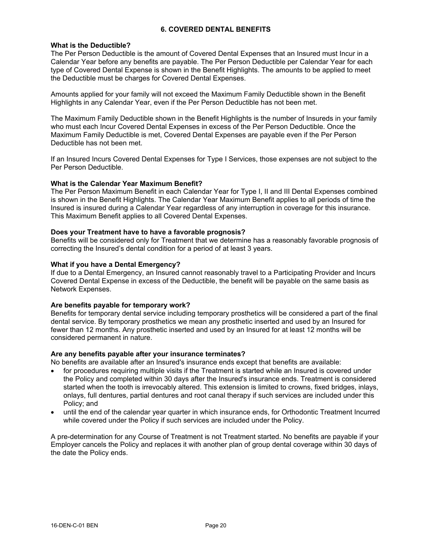#### **What is the Deductible?**

The Per Person Deductible is the amount of Covered Dental Expenses that an Insured must Incur in a Calendar Year before any benefits are payable. The Per Person Deductible per Calendar Year for each type of Covered Dental Expense is shown in the Benefit Highlights. The amounts to be applied to meet the Deductible must be charges for Covered Dental Expenses.

Amounts applied for your family will not exceed the Maximum Family Deductible shown in the Benefit Highlights in any Calendar Year, even if the Per Person Deductible has not been met.

The Maximum Family Deductible shown in the Benefit Highlights is the number of Insureds in your family who must each Incur Covered Dental Expenses in excess of the Per Person Deductible. Once the Maximum Family Deductible is met, Covered Dental Expenses are payable even if the Per Person Deductible has not been met.

If an Insured Incurs Covered Dental Expenses for Type I Services, those expenses are not subject to the Per Person Deductible.

## **What is the Calendar Year Maximum Benefit?**

The Per Person Maximum Benefit in each Calendar Year for Type I, II and III Dental Expenses combined is shown in the Benefit Highlights. The Calendar Year Maximum Benefit applies to all periods of time the Insured is insured during a Calendar Year regardless of any interruption in coverage for this insurance. This Maximum Benefit applies to all Covered Dental Expenses.

#### **Does your Treatment have to have a favorable prognosis?**

Benefits will be considered only for Treatment that we determine has a reasonably favorable prognosis of correcting the Insured's dental condition for a period of at least 3 years.

#### **What if you have a Dental Emergency?**

If due to a Dental Emergency, an Insured cannot reasonably travel to a Participating Provider and Incurs Covered Dental Expense in excess of the Deductible, the benefit will be payable on the same basis as Network Expenses.

## **Are benefits payable for temporary work?**

Benefits for temporary dental service including temporary prosthetics will be considered a part of the final dental service. By temporary prosthetics we mean any prosthetic inserted and used by an Insured for fewer than 12 months. Any prosthetic inserted and used by an Insured for at least 12 months will be considered permanent in nature.

## **Are any benefits payable after your insurance terminates?**

No benefits are available after an Insured's insurance ends except that benefits are available:

- for procedures requiring multiple visits if the Treatment is started while an Insured is covered under the Policy and completed within 30 days after the Insured's insurance ends. Treatment is considered started when the tooth is irrevocably altered. This extension is limited to crowns, fixed bridges, inlays, onlays, full dentures, partial dentures and root canal therapy if such services are included under this Policy; and
- · until the end of the calendar year quarter in which insurance ends, for Orthodontic Treatment Incurred while covered under the Policy if such services are included under the Policy.

A pre-determination for any Course of Treatment is not Treatment started. No benefits are payable if your Employer cancels the Policy and replaces it with another plan of group dental coverage within 30 days of the date the Policy ends.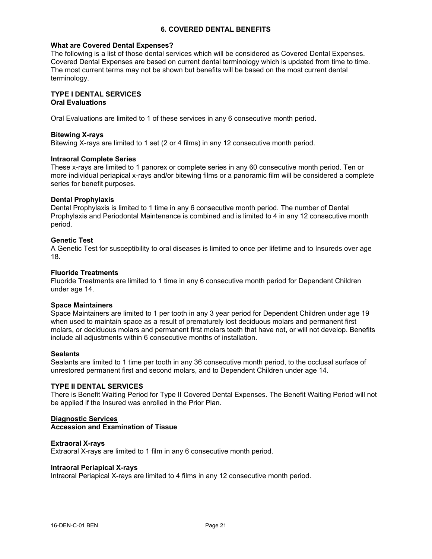#### **What are Covered Dental Expenses?**

The following is a list of those dental services which will be considered as Covered Dental Expenses. Covered Dental Expenses are based on current dental terminology which is updated from time to time. The most current terms may not be shown but benefits will be based on the most current dental terminology.

#### **TYPE I DENTAL SERVICES Oral Evaluations**

Oral Evaluations are limited to 1 of these services in any 6 consecutive month period.

#### **Bitewing X-rays**

Bitewing X-rays are limited to 1 set (2 or 4 films) in any 12 consecutive month period.

#### **Intraoral Complete Series**

These x-rays are limited to 1 panorex or complete series in any 60 consecutive month period. Ten or more individual periapical x-rays and/or bitewing films or a panoramic film will be considered a complete series for benefit purposes.

#### **Dental Prophylaxis**

Dental Prophylaxis is limited to 1 time in any 6 consecutive month period. The number of Dental Prophylaxis and Periodontal Maintenance is combined and is limited to 4 in any 12 consecutive month period.

#### **Genetic Test**

A Genetic Test for susceptibility to oral diseases is limited to once per lifetime and to Insureds over age 18.

#### **Fluoride Treatments**

Fluoride Treatments are limited to 1 time in any 6 consecutive month period for Dependent Children under age 14.

#### **Space Maintainers**

Space Maintainers are limited to 1 per tooth in any 3 year period for Dependent Children under age 19 when used to maintain space as a result of prematurely lost deciduous molars and permanent first molars, or deciduous molars and permanent first molars teeth that have not, or will not develop. Benefits include all adjustments within 6 consecutive months of installation.

#### **Sealants**

Sealants are limited to 1 time per tooth in any 36 consecutive month period, to the occlusal surface of unrestored permanent first and second molars, and to Dependent Children under age 14.

## **TYPE II DENTAL SERVICES**

There is Benefit Waiting Period for Type II Covered Dental Expenses. The Benefit Waiting Period will not be applied if the Insured was enrolled in the Prior Plan.

#### **Diagnostic Services Accession and Examination of Tissue**

# **Extraoral X-rays**

Extraoral X-rays are limited to 1 film in any 6 consecutive month period.

#### **Intraoral Periapical X-rays**

Intraoral Periapical X-rays are limited to 4 films in any 12 consecutive month period.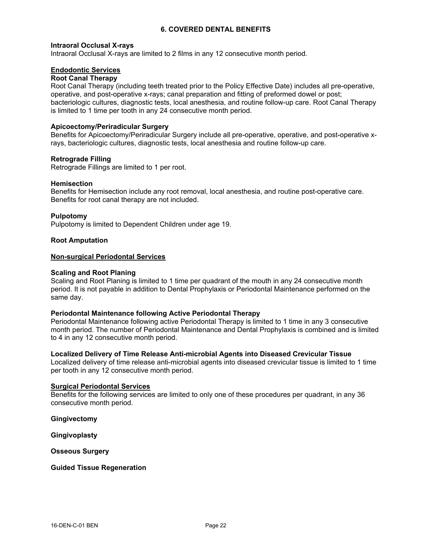#### **Intraoral Occlusal X-rays**

Intraoral Occlusal X-rays are limited to 2 films in any 12 consecutive month period.

# **Endodontic Services**

## **Root Canal Therapy**

Root Canal Therapy (including teeth treated prior to the Policy Effective Date) includes all pre-operative, operative, and post-operative x-rays; canal preparation and fitting of preformed dowel or post; bacteriologic cultures, diagnostic tests, local anesthesia, and routine follow-up care. Root Canal Therapy is limited to 1 time per tooth in any 24 consecutive month period.

#### **Apicoectomy/Periradicular Surgery**

Benefits for Apicoectomy/Periradicular Surgery include all pre-operative, operative, and post-operative xrays, bacteriologic cultures, diagnostic tests, local anesthesia and routine follow-up care.

#### **Retrograde Filling**

Retrograde Fillings are limited to 1 per root.

#### **Hemisection**

Benefits for Hemisection include any root removal, local anesthesia, and routine post-operative care. Benefits for root canal therapy are not included.

#### **Pulpotomy**

Pulpotomy is limited to Dependent Children under age 19.

#### **Root Amputation**

#### **Non-surgical Periodontal Services**

#### **Scaling and Root Planing**

Scaling and Root Planing is limited to 1 time per quadrant of the mouth in any 24 consecutive month period. It is not payable in addition to Dental Prophylaxis or Periodontal Maintenance performed on the same day.

#### **Periodontal Maintenance following Active Periodontal Therapy**

Periodontal Maintenance following active Periodontal Therapy is limited to 1 time in any 3 consecutive month period. The number of Periodontal Maintenance and Dental Prophylaxis is combined and is limited to 4 in any 12 consecutive month period.

#### **Localized Delivery of Time Release Anti-microbial Agents into Diseased Crevicular Tissue**

Localized delivery of time release anti-microbial agents into diseased crevicular tissue is limited to 1 time per tooth in any 12 consecutive month period.

#### **Surgical Periodontal Services**

Benefits for the following services are limited to only one of these procedures per quadrant, in any 36 consecutive month period.

**Gingivectomy**

**Gingivoplasty**

**Osseous Surgery**

#### **Guided Tissue Regeneration**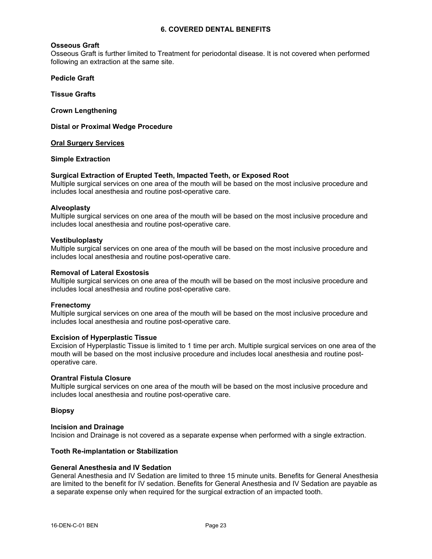#### **Osseous Graft**

Osseous Graft is further limited to Treatment for periodontal disease. It is not covered when performed following an extraction at the same site.

**Pedicle Graft**

**Tissue Grafts**

**Crown Lengthening**

**Distal or Proximal Wedge Procedure**

#### **Oral Surgery Services**

## **Simple Extraction**

#### **Surgical Extraction of Erupted Teeth, Impacted Teeth, or Exposed Root**

Multiple surgical services on one area of the mouth will be based on the most inclusive procedure and includes local anesthesia and routine post-operative care.

#### **Alveoplasty**

Multiple surgical services on one area of the mouth will be based on the most inclusive procedure and includes local anesthesia and routine post-operative care.

#### **Vestibuloplasty**

Multiple surgical services on one area of the mouth will be based on the most inclusive procedure and includes local anesthesia and routine post-operative care.

#### **Removal of Lateral Exostosis**

Multiple surgical services on one area of the mouth will be based on the most inclusive procedure and includes local anesthesia and routine post-operative care.

#### **Frenectomy**

Multiple surgical services on one area of the mouth will be based on the most inclusive procedure and includes local anesthesia and routine post-operative care.

#### **Excision of Hyperplastic Tissue**

Excision of Hyperplastic Tissue is limited to 1 time per arch. Multiple surgical services on one area of the mouth will be based on the most inclusive procedure and includes local anesthesia and routine postoperative care.

#### **Orantral Fistula Closure**

Multiple surgical services on one area of the mouth will be based on the most inclusive procedure and includes local anesthesia and routine post-operative care.

## **Biopsy**

#### **Incision and Drainage**

Incision and Drainage is not covered as a separate expense when performed with a single extraction.

#### **Tooth Re-implantation or Stabilization**

#### **General Anesthesia and IV Sedation**

General Anesthesia and IV Sedation are limited to three 15 minute units. Benefits for General Anesthesia are limited to the benefit for IV sedation. Benefits for General Anesthesia and IV Sedation are payable as a separate expense only when required for the surgical extraction of an impacted tooth.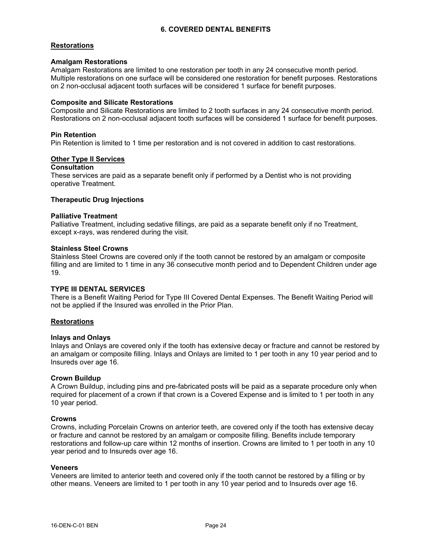## **Restorations**

# **Amalgam Restorations**

Amalgam Restorations are limited to one restoration per tooth in any 24 consecutive month period. Multiple restorations on one surface will be considered one restoration for benefit purposes. Restorations on 2 non-occlusal adjacent tooth surfaces will be considered 1 surface for benefit purposes.

# **Composite and Silicate Restorations**

Composite and Silicate Restorations are limited to 2 tooth surfaces in any 24 consecutive month period. Restorations on 2 non-occlusal adjacent tooth surfaces will be considered 1 surface for benefit purposes.

## **Pin Retention**

Pin Retention is limited to 1 time per restoration and is not covered in addition to cast restorations.

## **Other Type II Services**

# **Consultation**

These services are paid as a separate benefit only if performed by a Dentist who is not providing operative Treatment.

# **Therapeutic Drug Injections**

#### **Palliative Treatment**

Palliative Treatment, including sedative fillings, are paid as a separate benefit only if no Treatment, except x-rays, was rendered during the visit.

## **Stainless Steel Crowns**

Stainless Steel Crowns are covered only if the tooth cannot be restored by an amalgam or composite filling and are limited to 1 time in any 36 consecutive month period and to Dependent Children under age 19.

## **TYPE III DENTAL SERVICES**

There is a Benefit Waiting Period for Type III Covered Dental Expenses. The Benefit Waiting Period will not be applied if the Insured was enrolled in the Prior Plan.

## **Restorations**

## **Inlays and Onlays**

Inlays and Onlays are covered only if the tooth has extensive decay or fracture and cannot be restored by an amalgam or composite filling. Inlays and Onlays are limited to 1 per tooth in any 10 year period and to Insureds over age 16.

## **Crown Buildup**

A Crown Buildup, including pins and pre-fabricated posts will be paid as a separate procedure only when required for placement of a crown if that crown is a Covered Expense and is limited to 1 per tooth in any 10 year period.

## **Crowns**

Crowns, including Porcelain Crowns on anterior teeth, are covered only if the tooth has extensive decay or fracture and cannot be restored by an amalgam or composite filling. Benefits include temporary restorations and follow-up care within 12 months of insertion. Crowns are limited to 1 per tooth in any 10 year period and to Insureds over age 16.

#### **Veneers**

Veneers are limited to anterior teeth and covered only if the tooth cannot be restored by a filling or by other means. Veneers are limited to 1 per tooth in any 10 year period and to Insureds over age 16.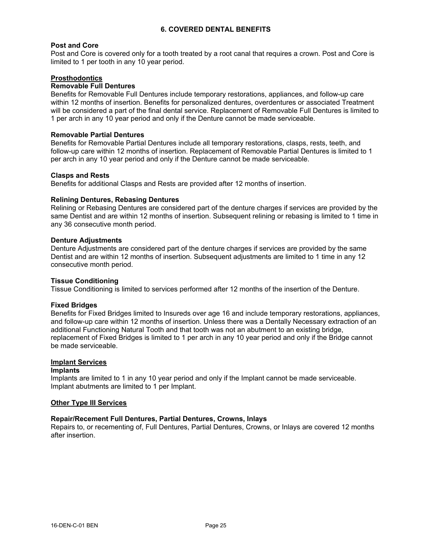## **Post and Core**

Post and Core is covered only for a tooth treated by a root canal that requires a crown. Post and Core is limited to 1 per tooth in any 10 year period.

## **Prosthodontics**

# **Removable Full Dentures**

Benefits for Removable Full Dentures include temporary restorations, appliances, and follow-up care within 12 months of insertion. Benefits for personalized dentures, overdentures or associated Treatment will be considered a part of the final dental service. Replacement of Removable Full Dentures is limited to 1 per arch in any 10 year period and only if the Denture cannot be made serviceable.

#### **Removable Partial Dentures**

Benefits for Removable Partial Dentures include all temporary restorations, clasps, rests, teeth, and follow-up care within 12 months of insertion. Replacement of Removable Partial Dentures is limited to 1 per arch in any 10 year period and only if the Denture cannot be made serviceable.

#### **Clasps and Rests**

Benefits for additional Clasps and Rests are provided after 12 months of insertion.

## **Relining Dentures, Rebasing Dentures**

Relining or Rebasing Dentures are considered part of the denture charges if services are provided by the same Dentist and are within 12 months of insertion. Subsequent relining or rebasing is limited to 1 time in any 36 consecutive month period.

#### **Denture Adjustments**

Denture Adjustments are considered part of the denture charges if services are provided by the same Dentist and are within 12 months of insertion. Subsequent adjustments are limited to 1 time in any 12 consecutive month period.

#### **Tissue Conditioning**

Tissue Conditioning is limited to services performed after 12 months of the insertion of the Denture.

## **Fixed Bridges**

Benefits for Fixed Bridges limited to Insureds over age 16 and include temporary restorations, appliances, and follow-up care within 12 months of insertion. Unless there was a Dentally Necessary extraction of an additional Functioning Natural Tooth and that tooth was not an abutment to an existing bridge, replacement of Fixed Bridges is limited to 1 per arch in any 10 year period and only if the Bridge cannot be made serviceable.

## **Implant Services**

#### **Implants**

Implants are limited to 1 in any 10 year period and only if the Implant cannot be made serviceable. Implant abutments are limited to 1 per Implant.

#### **Other Type III Services**

## **Repair/Recement Full Dentures, Partial Dentures, Crowns, Inlays**

Repairs to, or recementing of, Full Dentures, Partial Dentures, Crowns, or Inlays are covered 12 months after insertion.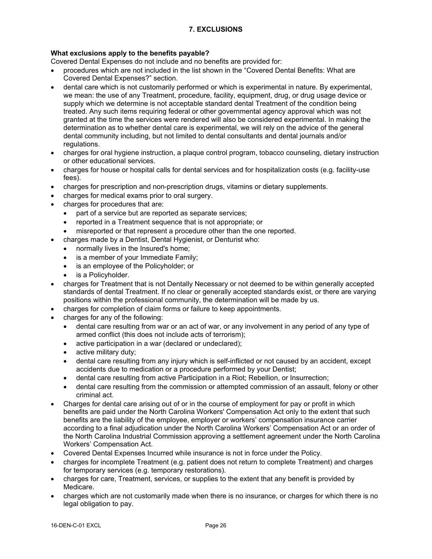# **What exclusions apply to the benefits payable?**

Covered Dental Expenses do not include and no benefits are provided for:

- · procedures which are not included in the list shown in the "Covered Dental Benefits: What are Covered Dental Expenses?" section.
- · dental care which is not customarily performed or which is experimental in nature. By experimental, we mean: the use of any Treatment, procedure, facility, equipment, drug, or drug usage device or supply which we determine is not acceptable standard dental Treatment of the condition being treated. Any such items requiring federal or other governmental agency approval which was not granted at the time the services were rendered will also be considered experimental. In making the determination as to whether dental care is experimental, we will rely on the advice of the general dental community including, but not limited to dental consultants and dental journals and/or regulations.
- · charges for oral hygiene instruction, a plaque control program, tobacco counseling, dietary instruction or other educational services.
- · charges for house or hospital calls for dental services and for hospitalization costs (e.g. facility-use fees).
- · charges for prescription and non-prescription drugs, vitamins or dietary supplements.
- charges for medical exams prior to oral surgery.
- · charges for procedures that are:
	- · part of a service but are reported as separate services;
	- · reported in a Treatment sequence that is not appropriate; or
	- misreported or that represent a procedure other than the one reported.
- · charges made by a Dentist, Dental Hygienist, or Denturist who:
	- normally lives in the Insured's home;
	- is a member of your Immediate Family;
	- is an employee of the Policyholder; or
	- is a Policyholder.
- · charges for Treatment that is not Dentally Necessary or not deemed to be within generally accepted standards of dental Treatment. If no clear or generally accepted standards exist, or there are varying positions within the professional community, the determination will be made by us.
- · charges for completion of claim forms or failure to keep appointments.
- charges for any of the following:
	- · dental care resulting from war or an act of war, or any involvement in any period of any type of armed conflict (this does not include acts of terrorism);
	- active participation in a war (declared or undeclared):
	- active military duty:
	- dental care resulting from any injury which is self-inflicted or not caused by an accident, except accidents due to medication or a procedure performed by your Dentist;
	- · dental care resulting from active Participation in a Riot; Rebellion, or Insurrection;
	- dental care resulting from the commission or attempted commission of an assault, felony or other criminal act.
- · Charges for dental care arising out of or in the course of employment for pay or profit in which benefits are paid under the North Carolina Workers' Compensation Act only to the extent that such benefits are the liability of the employee, employer or workers' compensation insurance carrier according to a final adjudication under the North Carolina Workers' Compensation Act or an order of the North Carolina Industrial Commission approving a settlement agreement under the North Carolina Workers' Compensation Act.
- Covered Dental Expenses Incurred while insurance is not in force under the Policy.
- · charges for incomplete Treatment (e.g. patient does not return to complete Treatment) and charges for temporary services (e.g. temporary restorations).
- · charges for care, Treatment, services, or supplies to the extent that any benefit is provided by Medicare.
- · charges which are not customarily made when there is no insurance, or charges for which there is no legal obligation to pay.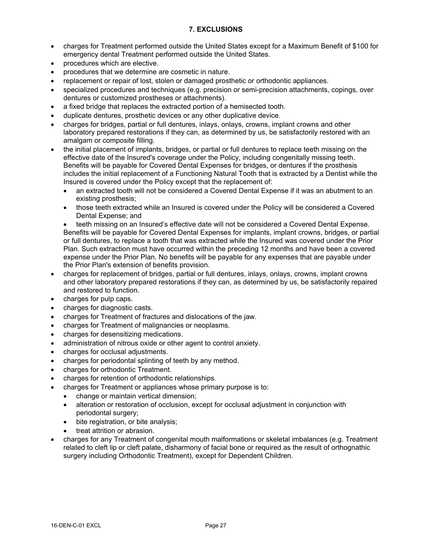# **7. EXCLUSIONS**

- · charges for Treatment performed outside the United States except for a Maximum Benefit of \$100 for emergency dental Treatment performed outside the United States.
- · procedures which are elective.
- · procedures that we determine are cosmetic in nature.
- replacement or repair of lost, stolen or damaged prosthetic or orthodontic appliances.
- specialized procedures and techniques (e.g. precision or semi-precision attachments, copings, over dentures or customized prostheses or attachments).
- a fixed bridge that replaces the extracted portion of a hemisected tooth.
- duplicate dentures, prosthetic devices or any other duplicative device.
- · charges for bridges, partial or full dentures, inlays, onlays, crowns, implant crowns and other laboratory prepared restorations if they can, as determined by us, be satisfactorily restored with an amalgam or composite filling.
- · the initial placement of implants, bridges, or partial or full dentures to replace teeth missing on the effective date of the Insured's coverage under the Policy, including congenitally missing teeth. Benefits will be payable for Covered Dental Expenses for bridges, or dentures if the prosthesis includes the initial replacement of a Functioning Natural Tooth that is extracted by a Dentist while the Insured is covered under the Policy except that the replacement of:
	- · an extracted tooth will not be considered a Covered Dental Expense if it was an abutment to an existing prosthesis;
	- · those teeth extracted while an Insured is covered under the Policy will be considered a Covered Dental Expense; and

teeth missing on an Insured's effective date will not be considered a Covered Dental Expense. Benefits will be payable for Covered Dental Expenses for implants, implant crowns, bridges, or partial or full dentures, to replace a tooth that was extracted while the Insured was covered under the Prior Plan. Such extraction must have occurred within the preceding 12 months and have been a covered expense under the Prior Plan. No benefits will be payable for any expenses that are payable under the Prior Plan's extension of benefits provision.

- · charges for replacement of bridges, partial or full dentures, inlays, onlays, crowns, implant crowns and other laboratory prepared restorations if they can, as determined by us, be satisfactorily repaired and restored to function.
- charges for pulp caps.
- · charges for diagnostic casts.
- · charges for Treatment of fractures and dislocations of the jaw.
- · charges for Treatment of malignancies or neoplasms.
- · charges for desensitizing medications.
- administration of nitrous oxide or other agent to control anxiety.
- · charges for occlusal adjustments.
- charges for periodontal splinting of teeth by any method.
- charges for orthodontic Treatment.
- · charges for retention of orthodontic relationships.
- · charges for Treatment or appliances whose primary purpose is to:
	- · change or maintain vertical dimension;
	- · alteration or restoration of occlusion, except for occlusal adjustment in conjunction with periodontal surgery;
	- bite registration, or bite analysis;
	- treat attrition or abrasion.
- · charges for any Treatment of congenital mouth malformations or skeletal imbalances (e.g. Treatment related to cleft lip or cleft palate, disharmony of facial bone or required as the result of orthognathic surgery including Orthodontic Treatment), except for Dependent Children.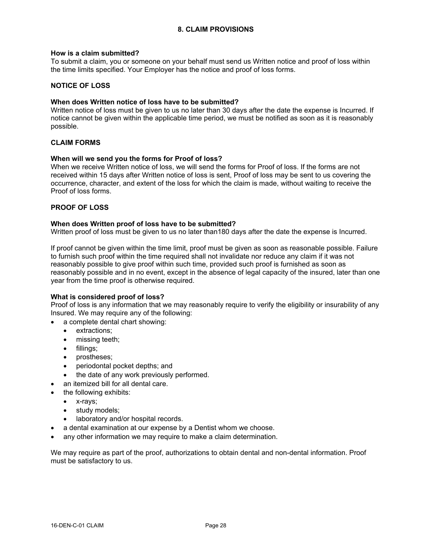## **How is a claim submitted?**

To submit a claim, you or someone on your behalf must send us Written notice and proof of loss within the time limits specified. Your Employer has the notice and proof of loss forms.

# **NOTICE OF LOSS**

## **When does Written notice of loss have to be submitted?**

Written notice of loss must be given to us no later than 30 days after the date the expense is Incurred. If notice cannot be given within the applicable time period, we must be notified as soon as it is reasonably possible.

## **CLAIM FORMS**

## **When will we send you the forms for Proof of loss?**

When we receive Written notice of loss, we will send the forms for Proof of loss. If the forms are not received within 15 days after Written notice of loss is sent, Proof of loss may be sent to us covering the occurrence, character, and extent of the loss for which the claim is made, without waiting to receive the Proof of loss forms.

# **PROOF OF LOSS**

## **When does Written proof of loss have to be submitted?**

Written proof of loss must be given to us no later than180 days after the date the expense is Incurred.

If proof cannot be given within the time limit, proof must be given as soon as reasonable possible. Failure to furnish such proof within the time required shall not invalidate nor reduce any claim if it was not reasonably possible to give proof within such time, provided such proof is furnished as soon as reasonably possible and in no event, except in the absence of legal capacity of the insured, later than one year from the time proof is otherwise required.

## **What is considered proof of loss?**

Proof of loss is any information that we may reasonably require to verify the eligibility or insurability of any Insured. We may require any of the following:

- a complete dental chart showing:
	- · extractions;
	- missing teeth:
	- · fillings;
	- · prostheses;
	- · periodontal pocket depths; and
	- the date of any work previously performed.
- an itemized bill for all dental care.
- the following exhibits:
	- · x-rays;
	- study models;
	- laboratory and/or hospital records.
- a dental examination at our expense by a Dentist whom we choose.
- any other information we may require to make a claim determination.

We may require as part of the proof, authorizations to obtain dental and non-dental information. Proof must be satisfactory to us.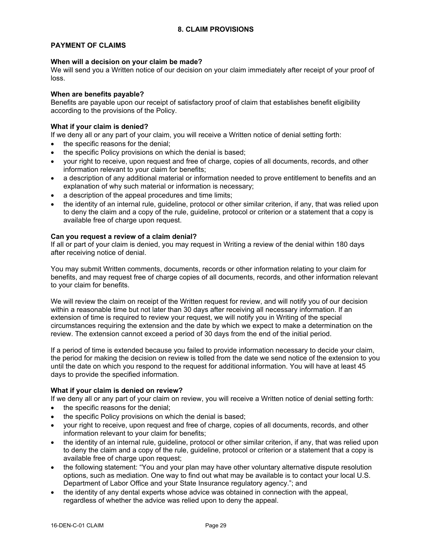# **PAYMENT OF CLAIMS**

## **When will a decision on your claim be made?**

We will send you a Written notice of our decision on your claim immediately after receipt of your proof of loss.

## **When are benefits payable?**

Benefits are payable upon our receipt of satisfactory proof of claim that establishes benefit eligibility according to the provisions of the Policy.

# **What if your claim is denied?**

If we deny all or any part of your claim, you will receive a Written notice of denial setting forth:

- the specific reasons for the denial;
- the specific Policy provisions on which the denial is based;
- · your right to receive, upon request and free of charge, copies of all documents, records, and other information relevant to your claim for benefits;
- a description of any additional material or information needed to prove entitlement to benefits and an explanation of why such material or information is necessary;
- a description of the appeal procedures and time limits;
- the identity of an internal rule, guideline, protocol or other similar criterion, if any, that was relied upon to deny the claim and a copy of the rule, guideline, protocol or criterion or a statement that a copy is available free of charge upon request.

# **Can you request a review of a claim denial?**

If all or part of your claim is denied, you may request in Writing a review of the denial within 180 days after receiving notice of denial.

You may submit Written comments, documents, records or other information relating to your claim for benefits, and may request free of charge copies of all documents, records, and other information relevant to your claim for benefits.

We will review the claim on receipt of the Written request for review, and will notify you of our decision within a reasonable time but not later than 30 days after receiving all necessary information. If an extension of time is required to review your request, we will notify you in Writing of the special circumstances requiring the extension and the date by which we expect to make a determination on the review. The extension cannot exceed a period of 30 days from the end of the initial period.

If a period of time is extended because you failed to provide information necessary to decide your claim, the period for making the decision on review is tolled from the date we send notice of the extension to you until the date on which you respond to the request for additional information. You will have at least 45 days to provide the specified information.

## **What if your claim is denied on review?**

If we deny all or any part of your claim on review, you will receive a Written notice of denial setting forth:

- the specific reasons for the denial;
- the specific Policy provisions on which the denial is based;
- · your right to receive, upon request and free of charge, copies of all documents, records, and other information relevant to your claim for benefits;
- the identity of an internal rule, guideline, protocol or other similar criterion, if any, that was relied upon to deny the claim and a copy of the rule, guideline, protocol or criterion or a statement that a copy is available free of charge upon request;
- the following statement: "You and your plan may have other voluntary alternative dispute resolution options, such as mediation. One way to find out what may be available is to contact your local U.S. Department of Labor Office and your State Insurance regulatory agency."; and
- · the identity of any dental experts whose advice was obtained in connection with the appeal, regardless of whether the advice was relied upon to deny the appeal.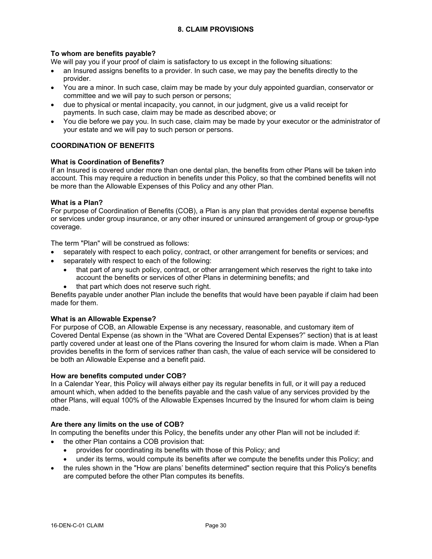# **8. CLAIM PROVISIONS**

# **To whom are benefits payable?**

We will pay you if your proof of claim is satisfactory to us except in the following situations:

- an Insured assigns benefits to a provider. In such case, we may pay the benefits directly to the provider.
- · You are a minor. In such case, claim may be made by your duly appointed guardian, conservator or committee and we will pay to such person or persons;
- · due to physical or mental incapacity, you cannot, in our judgment, give us a valid receipt for payments. In such case, claim may be made as described above; or
- · You die before we pay you. In such case, claim may be made by your executor or the administrator of your estate and we will pay to such person or persons.

# **COORDINATION OF BENEFITS**

## **What is Coordination of Benefits?**

If an Insured is covered under more than one dental plan, the benefits from other Plans will be taken into account. This may require a reduction in benefits under this Policy, so that the combined benefits will not be more than the Allowable Expenses of this Policy and any other Plan.

## **What is a Plan?**

For purpose of Coordination of Benefits (COB), a Plan is any plan that provides dental expense benefits or services under group insurance, or any other insured or uninsured arrangement of group or group-type coverage.

The term "Plan" will be construed as follows:

- separately with respect to each policy, contract, or other arrangement for benefits or services; and
- separately with respect to each of the following:
	- that part of any such policy, contract, or other arrangement which reserves the right to take into account the benefits or services of other Plans in determining benefits; and
	- that part which does not reserve such right.

Benefits payable under another Plan include the benefits that would have been payable if claim had been made for them.

## **What is an Allowable Expense?**

For purpose of COB, an Allowable Expense is any necessary, reasonable, and customary item of Covered Dental Expense (as shown in the "What are Covered Dental Expenses?" section) that is at least partly covered under at least one of the Plans covering the Insured for whom claim is made. When a Plan provides benefits in the form of services rather than cash, the value of each service will be considered to be both an Allowable Expense and a benefit paid.

#### **How are benefits computed under COB?**

In a Calendar Year, this Policy will always either pay its regular benefits in full, or it will pay a reduced amount which, when added to the benefits payable and the cash value of any services provided by the other Plans, will equal 100% of the Allowable Expenses Incurred by the Insured for whom claim is being made.

## **Are there any limits on the use of COB?**

In computing the benefits under this Policy, the benefits under any other Plan will not be included if:

- the other Plan contains a COB provision that:
	- provides for coordinating its benefits with those of this Policy; and
	- · under its terms, would compute its benefits after we compute the benefits under this Policy; and
- · the rules shown in the "How are plans' benefits determined" section require that this Policy's benefits are computed before the other Plan computes its benefits.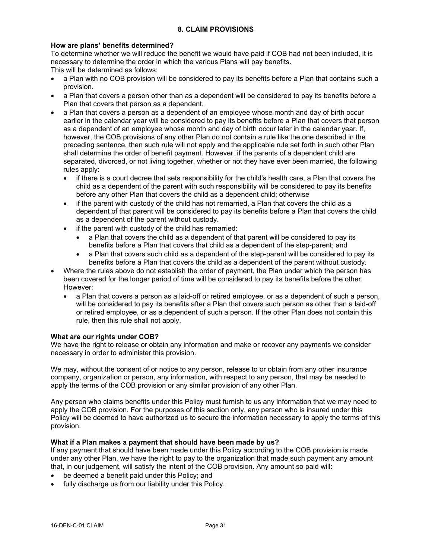# **How are plans' benefits determined?**

To determine whether we will reduce the benefit we would have paid if COB had not been included, it is necessary to determine the order in which the various Plans will pay benefits. This will be determined as follows:

- 
- a Plan with no COB provision will be considered to pay its benefits before a Plan that contains such a provision.
- a Plan that covers a person other than as a dependent will be considered to pay its benefits before a Plan that covers that person as a dependent.
- a Plan that covers a person as a dependent of an employee whose month and day of birth occur earlier in the calendar year will be considered to pay its benefits before a Plan that covers that person as a dependent of an employee whose month and day of birth occur later in the calendar year. If, however, the COB provisions of any other Plan do not contain a rule like the one described in the preceding sentence, then such rule will not apply and the applicable rule set forth in such other Plan shall determine the order of benefit payment. However, if the parents of a dependent child are separated, divorced, or not living together, whether or not they have ever been married, the following rules apply:
	- if there is a court decree that sets responsibility for the child's health care, a Plan that covers the child as a dependent of the parent with such responsibility will be considered to pay its benefits before any other Plan that covers the child as a dependent child; otherwise
	- · if the parent with custody of the child has not remarried, a Plan that covers the child as a dependent of that parent will be considered to pay its benefits before a Plan that covers the child as a dependent of the parent without custody.
	- if the parent with custody of the child has remarried:
		- a Plan that covers the child as a dependent of that parent will be considered to pay its benefits before a Plan that covers that child as a dependent of the step-parent; and
		- · a Plan that covers such child as a dependent of the step-parent will be considered to pay its benefits before a Plan that covers the child as a dependent of the parent without custody.
- Where the rules above do not establish the order of payment, the Plan under which the person has been covered for the longer period of time will be considered to pay its benefits before the other. However:
	- a Plan that covers a person as a laid-off or retired employee, or as a dependent of such a person, will be considered to pay its benefits after a Plan that covers such person as other than a laid-off or retired employee, or as a dependent of such a person. If the other Plan does not contain this rule, then this rule shall not apply.

## **What are our rights under COB?**

We have the right to release or obtain any information and make or recover any payments we consider necessary in order to administer this provision.

We may, without the consent of or notice to any person, release to or obtain from any other insurance company, organization or person, any information, with respect to any person, that may be needed to apply the terms of the COB provision or any similar provision of any other Plan.

Any person who claims benefits under this Policy must furnish to us any information that we may need to apply the COB provision. For the purposes of this section only, any person who is insured under this Policy will be deemed to have authorized us to secure the information necessary to apply the terms of this provision.

## **What if a Plan makes a payment that should have been made by us?**

If any payment that should have been made under this Policy according to the COB provision is made under any other Plan, we have the right to pay to the organization that made such payment any amount that, in our judgement, will satisfy the intent of the COB provision. Any amount so paid will:

- be deemed a benefit paid under this Policy; and
- fully discharge us from our liability under this Policy.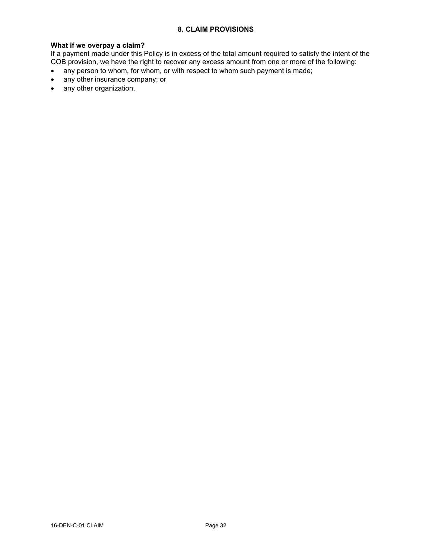# **8. CLAIM PROVISIONS**

#### **What if we overpay a claim?**

If a payment made under this Policy is in excess of the total amount required to satisfy the intent of the COB provision, we have the right to recover any excess amount from one or more of the following:

- any person to whom, for whom, or with respect to whom such payment is made;
- · any other insurance company; or
- · any other organization.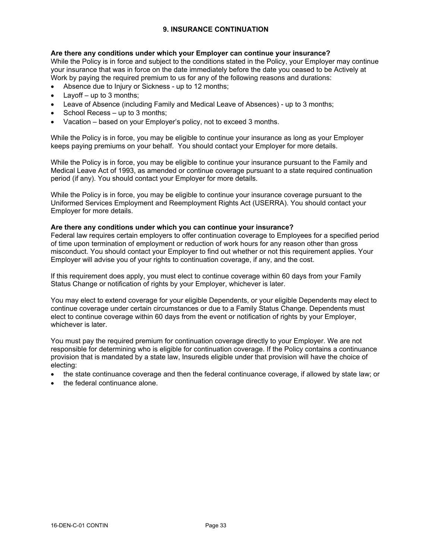# **Are there any conditions under which your Employer can continue your insurance?**

While the Policy is in force and subject to the conditions stated in the Policy, your Employer may continue your insurance that was in force on the date immediately before the date you ceased to be Actively at Work by paying the required premium to us for any of the following reasons and durations:

- · Absence due to Injury or Sickness up to 12 months;
- Layoff  $-$  up to 3 months;
- Leave of Absence (including Family and Medical Leave of Absences) up to 3 months;
- School Recess up to 3 months;
- Vacation based on your Employer's policy, not to exceed 3 months.

While the Policy is in force, you may be eligible to continue your insurance as long as your Employer keeps paying premiums on your behalf. You should contact your Employer for more details.

While the Policy is in force, you may be eligible to continue your insurance pursuant to the Family and Medical Leave Act of 1993, as amended or continue coverage pursuant to a state required continuation period (if any). You should contact your Employer for more details.

While the Policy is in force, you may be eligible to continue your insurance coverage pursuant to the Uniformed Services Employment and Reemployment Rights Act (USERRA). You should contact your Employer for more details.

## **Are there any conditions under which you can continue your insurance?**

Federal law requires certain employers to offer continuation coverage to Employees for a specified period of time upon termination of employment or reduction of work hours for any reason other than gross misconduct. You should contact your Employer to find out whether or not this requirement applies. Your Employer will advise you of your rights to continuation coverage, if any, and the cost.

If this requirement does apply, you must elect to continue coverage within 60 days from your Family Status Change or notification of rights by your Employer, whichever is later.

You may elect to extend coverage for your eligible Dependents, or your eligible Dependents may elect to continue coverage under certain circumstances or due to a Family Status Change. Dependents must elect to continue coverage within 60 days from the event or notification of rights by your Employer, whichever is later.

You must pay the required premium for continuation coverage directly to your Employer. We are not responsible for determining who is eligible for continuation coverage. If the Policy contains a continuance provision that is mandated by a state law, Insureds eligible under that provision will have the choice of electing:

- · the state continuance coverage and then the federal continuance coverage, if allowed by state law; or
- · the federal continuance alone.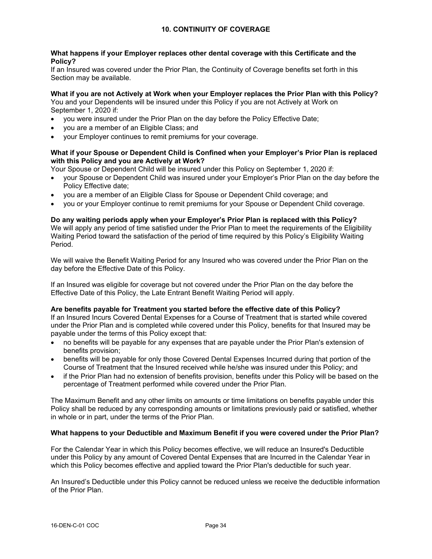# **What happens if your Employer replaces other dental coverage with this Certificate and the Policy?**

If an Insured was covered under the Prior Plan, the Continuity of Coverage benefits set forth in this Section may be available.

# **What if you are not Actively at Work when your Employer replaces the Prior Plan with this Policy?**

You and your Dependents will be insured under this Policy if you are not Actively at Work on September 1, 2020 if:

- · you were insured under the Prior Plan on the day before the Policy Effective Date;
- you are a member of an Eligible Class; and
- · your Employer continues to remit premiums for your coverage.

# **What if your Spouse or Dependent Child is Confined when your Employer's Prior Plan is replaced with this Policy and you are Actively at Work?**

Your Spouse or Dependent Child will be insured under this Policy on September 1, 2020 if:

- · your Spouse or Dependent Child was insured under your Employer's Prior Plan on the day before the Policy Effective date;
- · you are a member of an Eligible Class for Spouse or Dependent Child coverage; and
- · you or your Employer continue to remit premiums for your Spouse or Dependent Child coverage.

#### **Do any waiting periods apply when your Employer's Prior Plan is replaced with this Policy?** We will apply any period of time satisfied under the Prior Plan to meet the requirements of the Eligibility Waiting Period toward the satisfaction of the period of time required by this Policy's Eligibility Waiting Period.

We will waive the Benefit Waiting Period for any Insured who was covered under the Prior Plan on the day before the Effective Date of this Policy.

If an Insured was eligible for coverage but not covered under the Prior Plan on the day before the Effective Date of this Policy, the Late Entrant Benefit Waiting Period will apply.

## **Are benefits payable for Treatment you started before the effective date of this Policy?**

If an Insured Incurs Covered Dental Expenses for a Course of Treatment that is started while covered under the Prior Plan and is completed while covered under this Policy, benefits for that Insured may be payable under the terms of this Policy except that:

- · no benefits will be payable for any expenses that are payable under the Prior Plan's extension of benefits provision;
- benefits will be payable for only those Covered Dental Expenses Incurred during that portion of the Course of Treatment that the Insured received while he/she was insured under this Policy; and
- · if the Prior Plan had no extension of benefits provision, benefits under this Policy will be based on the percentage of Treatment performed while covered under the Prior Plan.

The Maximum Benefit and any other limits on amounts or time limitations on benefits payable under this Policy shall be reduced by any corresponding amounts or limitations previously paid or satisfied, whether in whole or in part, under the terms of the Prior Plan.

## **What happens to your Deductible and Maximum Benefit if you were covered under the Prior Plan?**

For the Calendar Year in which this Policy becomes effective, we will reduce an Insured's Deductible under this Policy by any amount of Covered Dental Expenses that are Incurred in the Calendar Year in which this Policy becomes effective and applied toward the Prior Plan's deductible for such year.

An Insured's Deductible under this Policy cannot be reduced unless we receive the deductible information of the Prior Plan.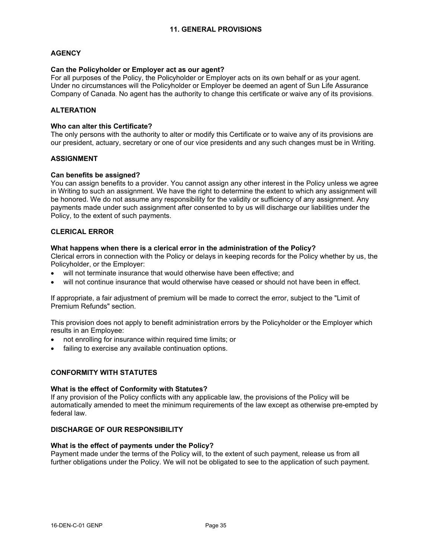# **AGENCY**

#### **Can the Policyholder or Employer act as our agent?**

For all purposes of the Policy, the Policyholder or Employer acts on its own behalf or as your agent. Under no circumstances will the Policyholder or Employer be deemed an agent of Sun Life Assurance Company of Canada. No agent has the authority to change this certificate or waive any of its provisions.

## **ALTERATION**

# **Who can alter this Certificate?**

The only persons with the authority to alter or modify this Certificate or to waive any of its provisions are our president, actuary, secretary or one of our vice presidents and any such changes must be in Writing.

## **ASSIGNMENT**

#### **Can benefits be assigned?**

You can assign benefits to a provider. You cannot assign any other interest in the Policy unless we agree in Writing to such an assignment. We have the right to determine the extent to which any assignment will be honored. We do not assume any responsibility for the validity or sufficiency of any assignment. Any payments made under such assignment after consented to by us will discharge our liabilities under the Policy, to the extent of such payments.

#### **CLERICAL ERROR**

#### **What happens when there is a clerical error in the administration of the Policy?**

Clerical errors in connection with the Policy or delays in keeping records for the Policy whether by us, the Policyholder, or the Employer:

- will not terminate insurance that would otherwise have been effective; and
- will not continue insurance that would otherwise have ceased or should not have been in effect.

If appropriate, a fair adjustment of premium will be made to correct the error, subject to the "Limit of Premium Refunds" section.

This provision does not apply to benefit administration errors by the Policyholder or the Employer which results in an Employee:

- not enrolling for insurance within required time limits; or
- failing to exercise any available continuation options.

# **CONFORMITY WITH STATUTES**

#### **What is the effect of Conformity with Statutes?**

If any provision of the Policy conflicts with any applicable law, the provisions of the Policy will be automatically amended to meet the minimum requirements of the law except as otherwise pre-empted by federal law.

# **DISCHARGE OF OUR RESPONSIBILITY**

#### **What is the effect of payments under the Policy?**

Payment made under the terms of the Policy will, to the extent of such payment, release us from all further obligations under the Policy. We will not be obligated to see to the application of such payment.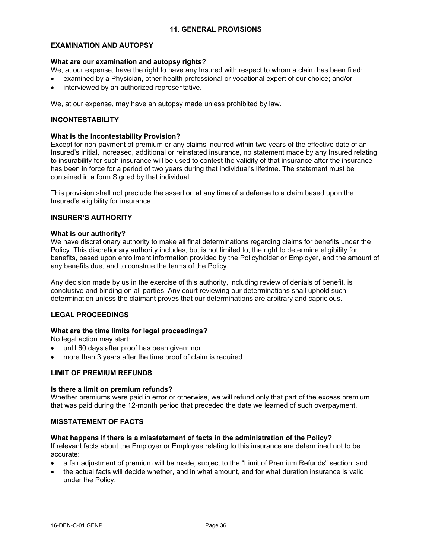#### **EXAMINATION AND AUTOPSY**

#### **What are our examination and autopsy rights?**

We, at our expense, have the right to have any Insured with respect to whom a claim has been filed:

- · examined by a Physician, other health professional or vocational expert of our choice; and/or
- · interviewed by an authorized representative.

We, at our expense, may have an autopsy made unless prohibited by law.

#### **INCONTESTABILITY**

#### **What is the Incontestability Provision?**

Except for non-payment of premium or any claims incurred within two years of the effective date of an Insured's initial, increased, additional or reinstated insurance, no statement made by any Insured relating to insurability for such insurance will be used to contest the validity of that insurance after the insurance has been in force for a period of two years during that individual's lifetime. The statement must be contained in a form Signed by that individual.

This provision shall not preclude the assertion at any time of a defense to a claim based upon the Insured's eligibility for insurance.

# **INSURER'S AUTHORITY**

#### **What is our authority?**

We have discretionary authority to make all final determinations regarding claims for benefits under the Policy. This discretionary authority includes, but is not limited to, the right to determine eligibility for benefits, based upon enrollment information provided by the Policyholder or Employer, and the amount of any benefits due, and to construe the terms of the Policy.

Any decision made by us in the exercise of this authority, including review of denials of benefit, is conclusive and binding on all parties. Any court reviewing our determinations shall uphold such determination unless the claimant proves that our determinations are arbitrary and capricious.

## **LEGAL PROCEEDINGS**

## **What are the time limits for legal proceedings?**

No legal action may start:

- · until 60 days after proof has been given; nor
- more than 3 years after the time proof of claim is required.

## **LIMIT OF PREMIUM REFUNDS**

#### **Is there a limit on premium refunds?**

Whether premiums were paid in error or otherwise, we will refund only that part of the excess premium that was paid during the 12-month period that preceded the date we learned of such overpayment.

#### **MISSTATEMENT OF FACTS**

#### **What happens if there is a misstatement of facts in the administration of the Policy?**

If relevant facts about the Employer or Employee relating to this insurance are determined not to be accurate:

- a fair adjustment of premium will be made, subject to the "Limit of Premium Refunds" section; and
- · the actual facts will decide whether, and in what amount, and for what duration insurance is valid under the Policy.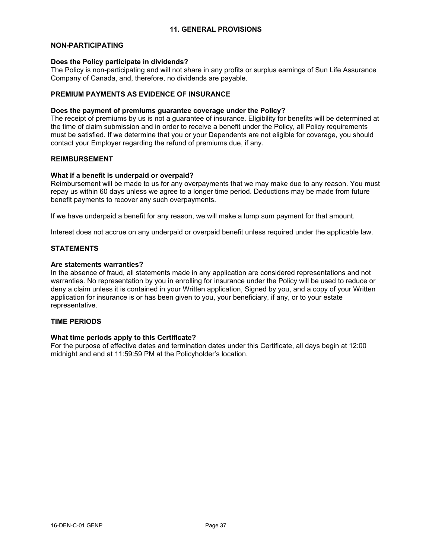#### **NON-PARTICIPATING**

#### **Does the Policy participate in dividends?**

The Policy is non-participating and will not share in any profits or surplus earnings of Sun Life Assurance Company of Canada, and, therefore, no dividends are payable.

## **PREMIUM PAYMENTS AS EVIDENCE OF INSURANCE**

#### **Does the payment of premiums guarantee coverage under the Policy?**

The receipt of premiums by us is not a guarantee of insurance. Eligibility for benefits will be determined at the time of claim submission and in order to receive a benefit under the Policy, all Policy requirements must be satisfied. If we determine that you or your Dependents are not eligible for coverage, you should contact your Employer regarding the refund of premiums due, if any.

## **REIMBURSEMENT**

#### **What if a benefit is underpaid or overpaid?**

Reimbursement will be made to us for any overpayments that we may make due to any reason. You must repay us within 60 days unless we agree to a longer time period. Deductions may be made from future benefit payments to recover any such overpayments.

If we have underpaid a benefit for any reason, we will make a lump sum payment for that amount.

Interest does not accrue on any underpaid or overpaid benefit unless required under the applicable law.

# **STATEMENTS**

#### **Are statements warranties?**

In the absence of fraud, all statements made in any application are considered representations and not warranties. No representation by you in enrolling for insurance under the Policy will be used to reduce or deny a claim unless it is contained in your Written application, Signed by you, and a copy of your Written application for insurance is or has been given to you, your beneficiary, if any, or to your estate representative.

#### **TIME PERIODS**

#### **What time periods apply to this Certificate?**

For the purpose of effective dates and termination dates under this Certificate, all days begin at 12:00 midnight and end at 11:59:59 PM at the Policyholder's location.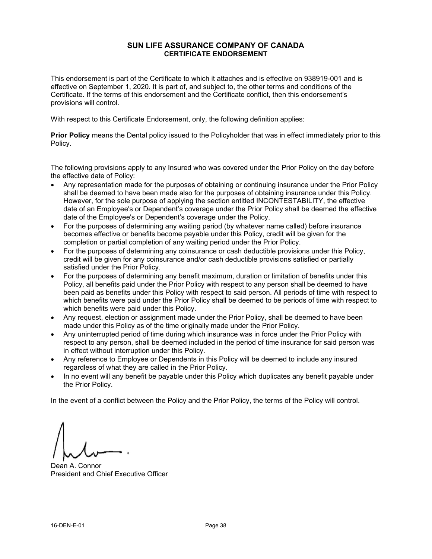# **SUN LIFE ASSURANCE COMPANY OF CANADA CERTIFICATE ENDORSEMENT**

This endorsement is part of the Certificate to which it attaches and is effective on 938919-001 and is effective on September 1, 2020. It is part of, and subject to, the other terms and conditions of the Certificate. If the terms of this endorsement and the Certificate conflict, then this endorsement's provisions will control.

With respect to this Certificate Endorsement, only, the following definition applies:

**Prior Policy** means the Dental policy issued to the Policyholder that was in effect immediately prior to this Policy.

The following provisions apply to any Insured who was covered under the Prior Policy on the day before the effective date of Policy:

- · Any representation made for the purposes of obtaining or continuing insurance under the Prior Policy shall be deemed to have been made also for the purposes of obtaining insurance under this Policy. However, for the sole purpose of applying the section entitled INCONTESTABILITY, the effective date of an Employee's or Dependent's coverage under the Prior Policy shall be deemed the effective date of the Employee's or Dependent's coverage under the Policy.
- For the purposes of determining any waiting period (by whatever name called) before insurance becomes effective or benefits become payable under this Policy, credit will be given for the completion or partial completion of any waiting period under the Prior Policy.
- · For the purposes of determining any coinsurance or cash deductible provisions under this Policy, credit will be given for any coinsurance and/or cash deductible provisions satisfied or partially satisfied under the Prior Policy.
- For the purposes of determining any benefit maximum, duration or limitation of benefits under this Policy, all benefits paid under the Prior Policy with respect to any person shall be deemed to have been paid as benefits under this Policy with respect to said person. All periods of time with respect to which benefits were paid under the Prior Policy shall be deemed to be periods of time with respect to which benefits were paid under this Policy.
- Any request, election or assignment made under the Prior Policy, shall be deemed to have been made under this Policy as of the time originally made under the Prior Policy.
- Any uninterrupted period of time during which insurance was in force under the Prior Policy with respect to any person, shall be deemed included in the period of time insurance for said person was in effect without interruption under this Policy.
- · Any reference to Employee or Dependents in this Policy will be deemed to include any insured regardless of what they are called in the Prior Policy.
- In no event will any benefit be payable under this Policy which duplicates any benefit payable under the Prior Policy.

In the event of a conflict between the Policy and the Prior Policy, the terms of the Policy will control.

Dean A. Connor President and Chief Executive Officer